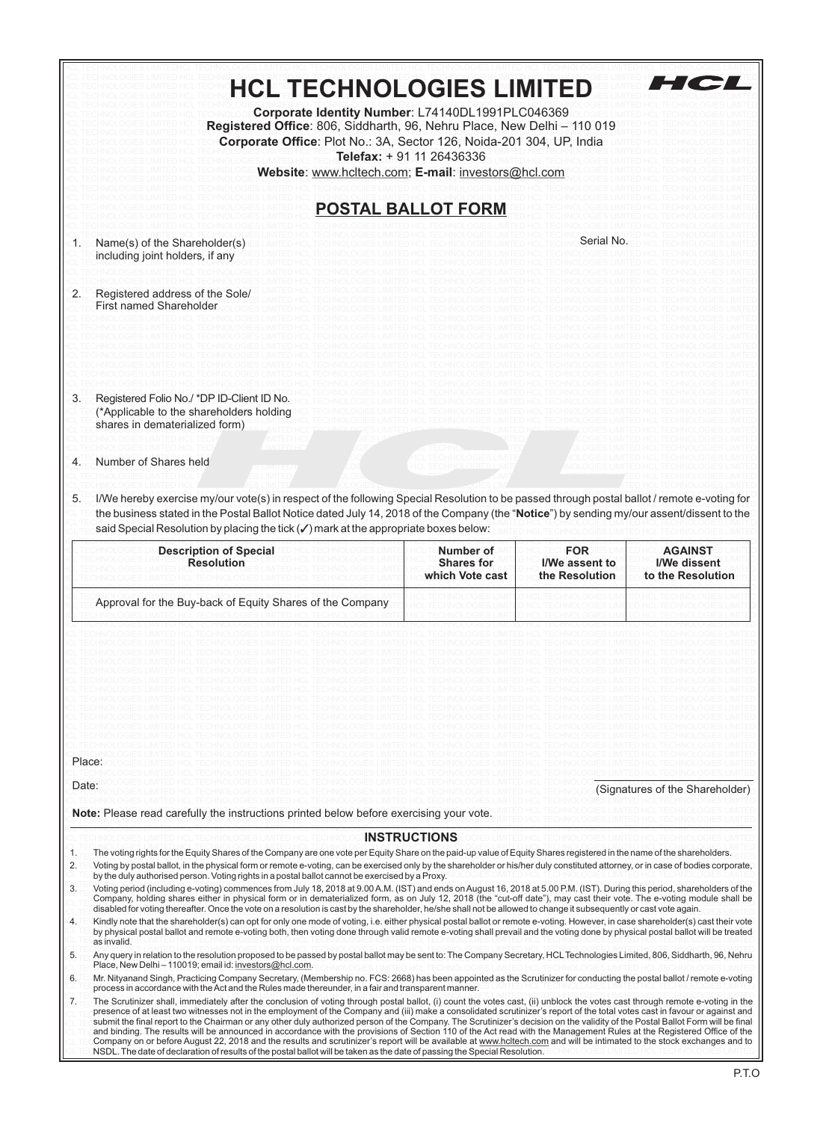| <b>HCL TECHNOLOGIES LIMITED</b>                                                                                                                                                                                                                                                                                                                                                                                                                                                                                                                                                                                                                                                                                                                                                                                                                                                                                                                                                                                                       |                                                   |                                                | H C                                                 |
|---------------------------------------------------------------------------------------------------------------------------------------------------------------------------------------------------------------------------------------------------------------------------------------------------------------------------------------------------------------------------------------------------------------------------------------------------------------------------------------------------------------------------------------------------------------------------------------------------------------------------------------------------------------------------------------------------------------------------------------------------------------------------------------------------------------------------------------------------------------------------------------------------------------------------------------------------------------------------------------------------------------------------------------|---------------------------------------------------|------------------------------------------------|-----------------------------------------------------|
| Corporate Identity Number: L74140DL1991PLC046369<br>Registered Office: 806, Siddharth, 96, Nehru Place, New Delhi - 110 019<br>Corporate Office: Plot No.: 3A, Sector 126, Noida-201 304, UP, India                                                                                                                                                                                                                                                                                                                                                                                                                                                                                                                                                                                                                                                                                                                                                                                                                                   | Telefax: + 91 11 26436336                         |                                                |                                                     |
| Website: www.hcltech.com; E-mail: investors@hcl.com                                                                                                                                                                                                                                                                                                                                                                                                                                                                                                                                                                                                                                                                                                                                                                                                                                                                                                                                                                                   |                                                   |                                                |                                                     |
|                                                                                                                                                                                                                                                                                                                                                                                                                                                                                                                                                                                                                                                                                                                                                                                                                                                                                                                                                                                                                                       | <b>POSTAL BALLOT FORM</b>                         |                                                |                                                     |
| Name(s) of the Shareholder(s)                                                                                                                                                                                                                                                                                                                                                                                                                                                                                                                                                                                                                                                                                                                                                                                                                                                                                                                                                                                                         |                                                   | Serial No                                      |                                                     |
| including joint holders, if any                                                                                                                                                                                                                                                                                                                                                                                                                                                                                                                                                                                                                                                                                                                                                                                                                                                                                                                                                                                                       |                                                   |                                                |                                                     |
| Registered address of the Sole/<br>2.<br><b>First named Shareholder</b>                                                                                                                                                                                                                                                                                                                                                                                                                                                                                                                                                                                                                                                                                                                                                                                                                                                                                                                                                               |                                                   |                                                |                                                     |
|                                                                                                                                                                                                                                                                                                                                                                                                                                                                                                                                                                                                                                                                                                                                                                                                                                                                                                                                                                                                                                       |                                                   |                                                |                                                     |
|                                                                                                                                                                                                                                                                                                                                                                                                                                                                                                                                                                                                                                                                                                                                                                                                                                                                                                                                                                                                                                       |                                                   |                                                |                                                     |
|                                                                                                                                                                                                                                                                                                                                                                                                                                                                                                                                                                                                                                                                                                                                                                                                                                                                                                                                                                                                                                       |                                                   |                                                |                                                     |
| Registered Folio No./*DP ID-Client ID No.<br>3.<br>(*Applicable to the shareholders holding<br>shares in dematerialized form)                                                                                                                                                                                                                                                                                                                                                                                                                                                                                                                                                                                                                                                                                                                                                                                                                                                                                                         |                                                   |                                                |                                                     |
|                                                                                                                                                                                                                                                                                                                                                                                                                                                                                                                                                                                                                                                                                                                                                                                                                                                                                                                                                                                                                                       |                                                   |                                                |                                                     |
| Number of Shares held<br>4.                                                                                                                                                                                                                                                                                                                                                                                                                                                                                                                                                                                                                                                                                                                                                                                                                                                                                                                                                                                                           |                                                   |                                                |                                                     |
| I/We hereby exercise my/our vote(s) in respect of the following Special Resolution to be passed through postal ballot / remote e-voting for<br>5.<br>the business stated in the Postal Ballot Notice dated July 14, 2018 of the Company (the "Notice") by sending my/our assent/dissent to the<br>said Special Resolution by placing the tick $(\checkmark)$ mark at the appropriate boxes below:                                                                                                                                                                                                                                                                                                                                                                                                                                                                                                                                                                                                                                     |                                                   |                                                |                                                     |
| <b>Description of Special</b><br><b>Resolution</b>                                                                                                                                                                                                                                                                                                                                                                                                                                                                                                                                                                                                                                                                                                                                                                                                                                                                                                                                                                                    | Number of<br><b>Shares for</b><br>which Vote cast | <b>FOR</b><br>I/We assent to<br>the Resolution | <b>AGAINST</b><br>I/We dissent<br>to the Resolution |
| Approval for the Buy-back of Equity Shares of the Company                                                                                                                                                                                                                                                                                                                                                                                                                                                                                                                                                                                                                                                                                                                                                                                                                                                                                                                                                                             |                                                   |                                                |                                                     |
| Place:                                                                                                                                                                                                                                                                                                                                                                                                                                                                                                                                                                                                                                                                                                                                                                                                                                                                                                                                                                                                                                |                                                   |                                                |                                                     |
| Date:                                                                                                                                                                                                                                                                                                                                                                                                                                                                                                                                                                                                                                                                                                                                                                                                                                                                                                                                                                                                                                 |                                                   |                                                | (Signatures of the Shareholder)                     |
| Note: Please read carefully the instructions printed below before exercising your vote.                                                                                                                                                                                                                                                                                                                                                                                                                                                                                                                                                                                                                                                                                                                                                                                                                                                                                                                                               |                                                   |                                                |                                                     |
|                                                                                                                                                                                                                                                                                                                                                                                                                                                                                                                                                                                                                                                                                                                                                                                                                                                                                                                                                                                                                                       | <b>INSTRUCTIONS</b>                               |                                                |                                                     |
| The voting rights for the Equity Shares of the Company are one vote per Equity Share on the paid-up value of Equity Shares registered in the name of the shareholders.<br>1.<br>2.<br>Voting by postal ballot, in the physical form or remote e-voting, can be exercised only by the shareholder or his/her duly constituted attorney, or in case of bodies corporate,                                                                                                                                                                                                                                                                                                                                                                                                                                                                                                                                                                                                                                                                |                                                   |                                                |                                                     |
| by the duly authorised person. Voting rights in a postal ballot cannot be exercised by a Proxy.<br>3.<br>Voting period (including e-voting) commences from July 18, 2018 at 9.00 A.M. (IST) and ends on August 16, 2018 at 5.00 P.M. (IST). During this period, shareholders of the                                                                                                                                                                                                                                                                                                                                                                                                                                                                                                                                                                                                                                                                                                                                                   |                                                   |                                                |                                                     |
| Company, holding shares either in physical form or in dematerialized form, as on July 12, 2018 (the "cut-off date"), may cast their vote. The e-voting module shall be<br>disabled for voting thereafter. Once the vote on a resolution is cast by the shareholder, he/she shall not be allowed to change it subsequently or cast vote again.                                                                                                                                                                                                                                                                                                                                                                                                                                                                                                                                                                                                                                                                                         |                                                   |                                                |                                                     |
| Kindly note that the shareholder(s) can opt for only one mode of voting, i.e. either physical postal ballot or remote e-voting. However, in case shareholder(s) cast their vote<br>4.<br>by physical postal ballot and remote e-voting both, then voting done through valid remote e-voting shall prevail and the voting done by physical postal ballot will be treated<br>as invalid.                                                                                                                                                                                                                                                                                                                                                                                                                                                                                                                                                                                                                                                |                                                   |                                                |                                                     |
| 5.<br>Any query in relation to the resolution proposed to be passed by postal ballot may be sent to: The Company Secretary, HCL Technologies Limited, 806, Siddharth, 96, Nehru<br>Place, New Delhi-110019; email id: investors@hcl.com.                                                                                                                                                                                                                                                                                                                                                                                                                                                                                                                                                                                                                                                                                                                                                                                              |                                                   |                                                |                                                     |
| 6.<br>Mr. Nityanand Singh, Practicing Company Secretary, (Membership no. FCS: 2668) has been appointed as the Scrutinizer for conducting the postal ballot / remote e-voting<br>process in accordance with the Act and the Rules made thereunder, in a fair and transparent manner.                                                                                                                                                                                                                                                                                                                                                                                                                                                                                                                                                                                                                                                                                                                                                   |                                                   |                                                |                                                     |
| 7.<br>The Scrutinizer shall, immediately after the conclusion of voting through postal ballot, (i) count the votes cast, (ii) unblock the votes cast through remote e-voting in the<br>presence of at least two witnesses not in the employment of the Company and (iii) make a consolidated scrutinizer's report of the total votes cast in favour or against and<br>submit the final report to the Chairman or any other duly authorized person of the Company. The Scrutinizer's decision on the validity of the Postal Ballot Form will be final<br>and binding. The results will be announced in accordance with the provisions of Section 110 of the Act read with the Management Rules at the Registered Office of the<br>Company on or before August 22, 2018 and the results and scrutinizer's report will be available at www.hcltech.com and will be intimated to the stock exchanges and to<br>NSDL. The date of declaration of results of the postal ballot will be taken as the date of passing the Special Resolution. |                                                   |                                                |                                                     |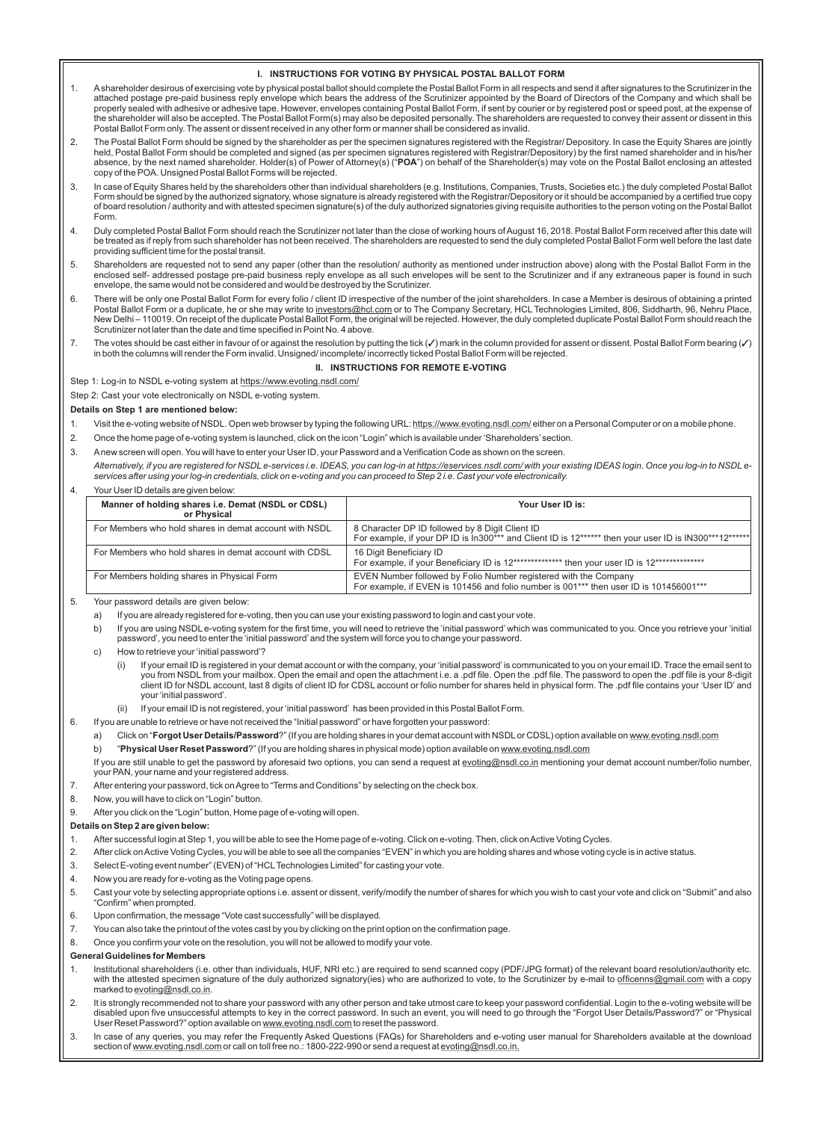#### **I. INSTRUCTIONS FOR VOTING BY PHYSICAL POSTAL BALLOT FORM**

- 1. Ashareholder desirous of exercising vote by physical postal ballot should complete the Postal Ballot Form in all respects and send it after signatures to the Scrutinizer in the attached postage pre-paid business reply envelope which bears the address of the Scrutinizer appointed by the Board of Directors of the Company and which shall be<br>properly sealed with adhesive or adhesive tape. However, en the shareholder will also be accepted. The Postal Ballot Form(s) may also be deposited personally. The shareholders are requested to convey their assent or dissent in this Postal Ballot Form only. The assent or dissent received in any other form or manner shall be considered as invalid.
- 2. The Postal Ballot Form should be signed by the shareholder as per the specimen signatures registered with the Registrar/ Depository. In case the Equity Shares are jointly held, Postal Ballot Form should be completed and signed (as per specimen signatures registered with Registrar/Depository) by the first named shareholder and in his/her absence, by the next named shareholder. Holder(s) of Power of Attorney(s) ("**POA**") on behalf of the Shareholder(s) may vote on the Postal Ballot enclosing an attested<br>copy of the POA. Unsigned Postal Ballot Forms will be
- 3. In case of Equity Shares held by the shareholders other than individual shareholders (e.g. Institutions, Companies, Trusts, Societies etc.) the duly completed Postal Ballot Form should be signed by the authorized signatory, whose signature is already registered with the Registrar/Depository or it should be accompanied by a certified true copy<br>of board resolution / authority and with attested Form.
- 4. Duly completed Postal Ballot Form should reach the Scrutinizer not later than the close of working hours of August 16, 2018. Postal Ballot Form received after this date will be treated as if reply from such shareholder has not been received. The shareholders are requested to send the duly completed Postal Ballot Form well before the last date providing sufficient time for the postal transit.
- 5. Shareholders are requested not to send any paper (other than the resolution/ authority as mentioned under instruction above) along with the Postal Ballot Form in the enclosed self- addressed postage pre-paid business reply envelope as all such envelopes will be sent to the Scrutinizer and if any extraneous paper is found in such envelope, the same would not be considered and would be destroyed by the Scrutinizer.
- 6. There will be only one Postal Ballot Form for every folio / client ID irrespective of the number of the joint shareholders. In case a Member is desirous of obtaining a printed Postal Ballot Form or a duplicate, he or she may write to investors@hcl.com or to The Company Secretary, HCL Technologies Limited, 806, Siddharth, 96, Nehru Place, New Delhi – 110019. On receipt of the duplicate Postal Ballot Form, the original will be rejected. However, the duly completed duplicate Postal Ballot Form should reach the Scrutinizer not later than the date and time specified in Point No. 4 above.
- 7. The votes should be cast either in favour of or against the resolution by putting the tick (✔) mark in the column provided for assent or dissent. Postal Ballot Form bearing (✔)  $\,|\,$ in both the columns will render the Form invalid. Unsigned/ incomplete/ incorrectly ticked Postal Ballot Form will be rejected.

#### **II. INSTRUCTIONS FOR REMOTE E-VOTING**

Step 1: Log-in to NSDL e-voting system at https://www.evoting.nsdl.com/

Step 2: Cast your vote electronically on NSDL e-voting system.

#### **Details on Step 1 are mentioned below:**

- 1. Visit the e-voting website of NSDL. Open web browser by typing the following URL: https://www.evoting.nsdl.com/ either on a Personal Computer or on a mobile phone.
- 2. Once the home page of e-voting system is launched, click on the icon "Login" which is available under 'Shareholders' section.
- 3. Anew screen will open. You will have to enter your User ID, your Password and a Verification Code as shown on the screen.

*Alternatively, if you are registered for NSDL e-services i.e. IDEAS, you can log-in at https://eservices.nsdl.com/ with your existing IDEAS login. Once you log-in to NSDL eservices after using your log-in credentials, click on e-voting and you can proceed to Step 2 i.e. Cast your vote electronically.* 

#### 4. Your User ID details are given below:

| Manner of holding shares i.e. Demat (NSDL or CDSL)<br>or Physical | Your User ID is:                                                                                                                                           |
|-------------------------------------------------------------------|------------------------------------------------------------------------------------------------------------------------------------------------------------|
| For Members who hold shares in demat account with NSDL            | 8 Character DP ID followed by 8 Digit Client ID<br>For example, if your DP ID is In300*** and Client ID is 12****** then your user ID is IN300***12******  |
| For Members who hold shares in demat account with CDSL            | 16 Digit Beneficiary ID<br>For example, if your Beneficiary ID is 12************** then your user ID is 12***************                                  |
| For Members holding shares in Physical Form                       | EVEN Number followed by Folio Number registered with the Company<br>For example, if EVEN is 101456 and folio number is 001*** then user ID is 101456001*** |

5. Your password details are given below:

- a) If you are already registered for e-voting, then you can use your existing password to login and cast your vote.
- b) If you are using NSDL e-voting system for the first time, you will need to retrieve the 'initial password' which was communicated to you. Once you retrieve your 'initial password', you need to enter the 'initial password'and the system will force you to change your password.
- c) How to retrieve your 'initial password'?
	- (i) If your email ID is registered in your demat account or with the company, your 'initial password' is communicated to you on your email ID. Trace the email sent to you from NSDL from your mailbox. Open the email and open the attachment i.e. a .pdf file. Open the .pdf file. The password to open the .pdf file is your 8-digit<br>client ID for NSDL account, last 8 digits of client ID for CD your 'initial password'.
	- If your email ID is not registered, your 'initial password' has been provided in this Postal Ballot Form.
- 6. If you are unable to retrieve or have not received the "Initial password" or have forgotten your password:
	- a) Click on "Forgot User Details/Password?" (If you are holding shares in your demat account with NSDL or CDSL) option available on www.evoting.nsdl.com
		- b) "**Physical User Reset Password**?" (If you are holding shares in physical mode) option available on www.evoting.nsdl.com

If you are still unable to get the password by aforesaid two options, you can send a request at evoting@nsdl.co.in mentioning your demat account number/folio number, your PAN, your name and your registered address.

- 7. After entering your password, tick on Agree to "Terms and Conditions" by selecting on the check box.
- 8. Now, you will have to click on "Login" button.
- 9. After you click on the "Login" button, Home page of e-voting will open.
- **Details on Step 2 are given below:**
- 1. After successful login at Step 1, you will be able to see the Home page of e-voting. Click on e-voting. Then, click on Active Voting Cycles.
- 2. After click on Active Voting Cycles, you will be able to see all the companies "EVEN" in which you are holding shares and whose voting cycle is in active status.
- 3. Select E-voting event number" (EVEN) of "HCLTechnologies Limited" for casting your vote.
- 4. Now you are ready for e-voting as the Voting page opens.
- 5. Cast your vote by selecting appropriate options i.e. assent or dissent, verify/modify the number of shares for which you wish to cast your vote and click on "Submit" and also "Confirm" when prompted.
- 6. Upon confirmation, the message "Vote cast successfully" will be displayed.
- 7. You can also take the printout of the votes cast by you by clicking on the print option on the confirmation page.
- 8. Once you confirm your vote on the resolution, you will not be allowed to modify your vote.

#### **General Guidelines for Members**

- 1. Institutional shareholders (i.e. other than individuals, HUF, NRI etc.) are required to send scanned copy (PDF/JPG format) of the relevant board resolution/authority etc. with the attested specimen signature of the duly authorized signatory(ies) who are authorized to vote, to the Scrutinizer by e-mail to officenns@gmail.com with a copy marked to evoting@nsdl.co.in.
- 2. It is strongly recommended not to share your password with any other person and take utmost care to keep your password confidential. Login to the e-voting website will be disabled upon five unsuccessful attempts to key in the correct password. In such an event, you will need to go through the "Forgot User Details/Password?" or "Physical User Reset Password?" option available on www.evoting.nsdl.com to reset the password.
- 3. In case of any queries, you may refer the Frequently Asked Questions (FAQs) for Shareholders and e-voting user manual for Shareholders available at the download<br>section of <u>www.evoting.nsdl.com</u> or call on toll free no.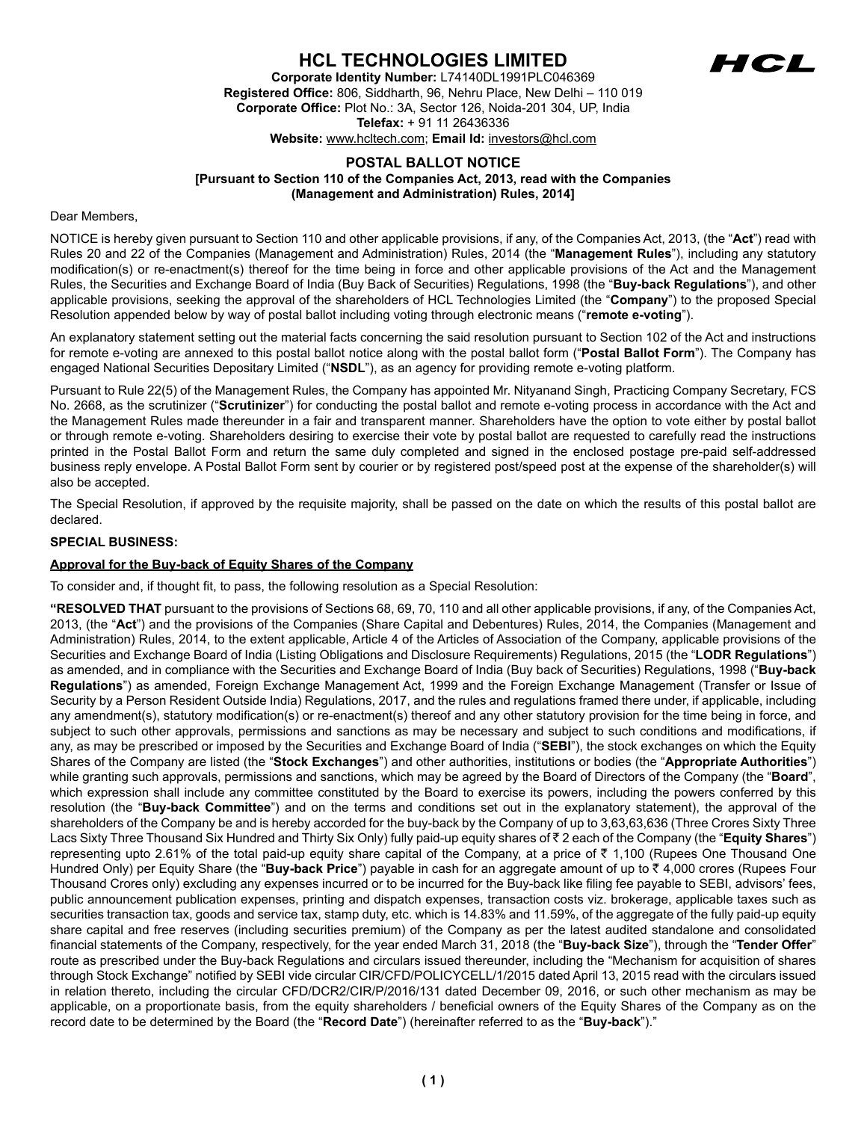# **HCL TECHNOLOGIES LIMITED**



**Corporate Identity Number:** L74140DL1991PLC046369 **Registered Office:** 806, Siddharth, 96, Nehru Place, New Delhi – 110 019 **Corporate Office:** Plot No.: 3A, Sector 126, Noida-201 304, UP, India **Telefax:** + 91 11 26436336

**Website:** www.hcltech.com; **Email Id:** investors@hcl.com

### **POSTAL BALLOT NOTICE [Pursuant to Section 110 of the Companies Act, 2013, read with the Companies (Management and Administration) Rules, 2014]**

#### Dear Members,

NOTICE is hereby given pursuant to Section 110 and other applicable provisions, if any, of the Companies Act, 2013, (the "**Act**") read with Rules 20 and 22 of the Companies (Management and Administration) Rules, 2014 (the "**Management Rules**"), including any statutory modification(s) or re-enactment(s) thereof for the time being in force and other applicable provisions of the Act and the Management Rules, the Securities and Exchange Board of India (Buy Back of Securities) Regulations, 1998 (the "**Buy-back Regulations**"), and other applicable provisions, seeking the approval of the shareholders of HCL Technologies Limited (the "**Company**") to the proposed Special Resolution appended below by way of postal ballot including voting through electronic means ("**remote e-voting**").

An explanatory statement setting out the material facts concerning the said resolution pursuant to Section 102 of the Act and instructions for remote e-voting are annexed to this postal ballot notice along with the postal ballot form ("**Postal Ballot Form**"). The Company has engaged National Securities Depositary Limited ("**NSDL**"), as an agency for providing remote e-voting platform.

Pursuant to Rule 22(5) of the Management Rules, the Company has appointed Mr. Nityanand Singh, Practicing Company Secretary, FCS No. 2668, as the scrutinizer ("**Scrutinizer**") for conducting the postal ballot and remote e-voting process in accordance with the Act and the Management Rules made thereunder in a fair and transparent manner. Shareholders have the option to vote either by postal ballot or through remote e-voting. Shareholders desiring to exercise their vote by postal ballot are requested to carefully read the instructions printed in the Postal Ballot Form and return the same duly completed and signed in the enclosed postage pre-paid self-addressed business reply envelope. A Postal Ballot Form sent by courier or by registered post/speed post at the expense of the shareholder(s) will also be accepted.

The Special Resolution, if approved by the requisite majority, shall be passed on the date on which the results of this postal ballot are declared.

#### **SPECIAL BUSINESS:**

#### **Approval for the Buy-back of Equity Shares of the Company**

To consider and, if thought fit, to pass, the following resolution as a Special Resolution:

**"RESOLVED THAT** pursuant to the provisions of Sections 68, 69, 70, 110 and all other applicable provisions, if any, of the Companies Act, 2013, (the "**Act**") and the provisions of the Companies (Share Capital and Debentures) Rules, 2014, the Companies (Management and Administration) Rules, 2014, to the extent applicable, Article 4 of the Articles of Association of the Company, applicable provisions of the Securities and Exchange Board of India (Listing Obligations and Disclosure Requirements) Regulations, 2015 (the "**LODR Regulations**") as amended, and in compliance with the Securities and Exchange Board of India (Buy back of Securities) Regulations, 1998 ("**Buy-back Regulations**") as amended, Foreign Exchange Management Act, 1999 and the Foreign Exchange Management (Transfer or Issue of Security by a Person Resident Outside India) Regulations, 2017, and the rules and regulations framed there under, if applicable, including any amendment(s), statutory modification(s) or re-enactment(s) thereof and any other statutory provision for the time being in force, and subject to such other approvals, permissions and sanctions as may be necessary and subject to such conditions and modifications, if any, as may be prescribed or imposed by the Securities and Exchange Board of India ("**SEBI**"), the stock exchanges on which the Equity Shares of the Company are listed (the "**Stock Exchanges**") and other authorities, institutions or bodies (the "**Appropriate Authorities**") while granting such approvals, permissions and sanctions, which may be agreed by the Board of Directors of the Company (the "**Board**", which expression shall include any committee constituted by the Board to exercise its powers, including the powers conferred by this resolution (the "**Buy-back Committee**") and on the terms and conditions set out in the explanatory statement), the approval of the shareholders of the Company be and is hereby accorded for the buy-back by the Company of up to 3,63,63,636 (Three Crores Sixty Three Lacs Sixty Three Thousand Six Hundred and Thirty Six Only) fully paid-up equity shares of ₹2 each of the Company (the "**Equity Shares**") representing upto 2.61% of the total paid-up equity share capital of the Company, at a price of  $\bar{\tau}$  1,100 (Rupees One Thousand One Hundred Only) per Equity Share (the "**Buy-back Price**") payable in cash for an aggregate amount of up to  $\bar{\tau}$  4,000 crores (Rupees Four Thousand Crores only) excluding any expenses incurred or to be incurred for the Buy-back like filing fee payable to SEBI, advisors' fees, public announcement publication expenses, printing and dispatch expenses, transaction costs viz. brokerage, applicable taxes such as securities transaction tax, goods and service tax, stamp duty, etc. which is 14.83% and 11.59%, of the aggregate of the fully paid-up equity share capital and free reserves (including securities premium) of the Company as per the latest audited standalone and consolidated financial statements of the Company, respectively, for the year ended March 31, 2018 (the "**Buy-back Size**"), through the "**Tender Offer**" route as prescribed under the Buy-back Regulations and circulars issued thereunder, including the "Mechanism for acquisition of shares through Stock Exchange" notified by SEBI vide circular CIR/CFD/POLICYCELL/1/2015 dated April 13, 2015 read with the circulars issued in relation thereto, including the circular CFD/DCR2/CIR/P/2016/131 dated December 09, 2016, or such other mechanism as may be applicable, on a proportionate basis, from the equity shareholders / beneficial owners of the Equity Shares of the Company as on the record date to be determined by the Board (the "**Record Date**") (hereinafter referred to as the "**Buy-back**")."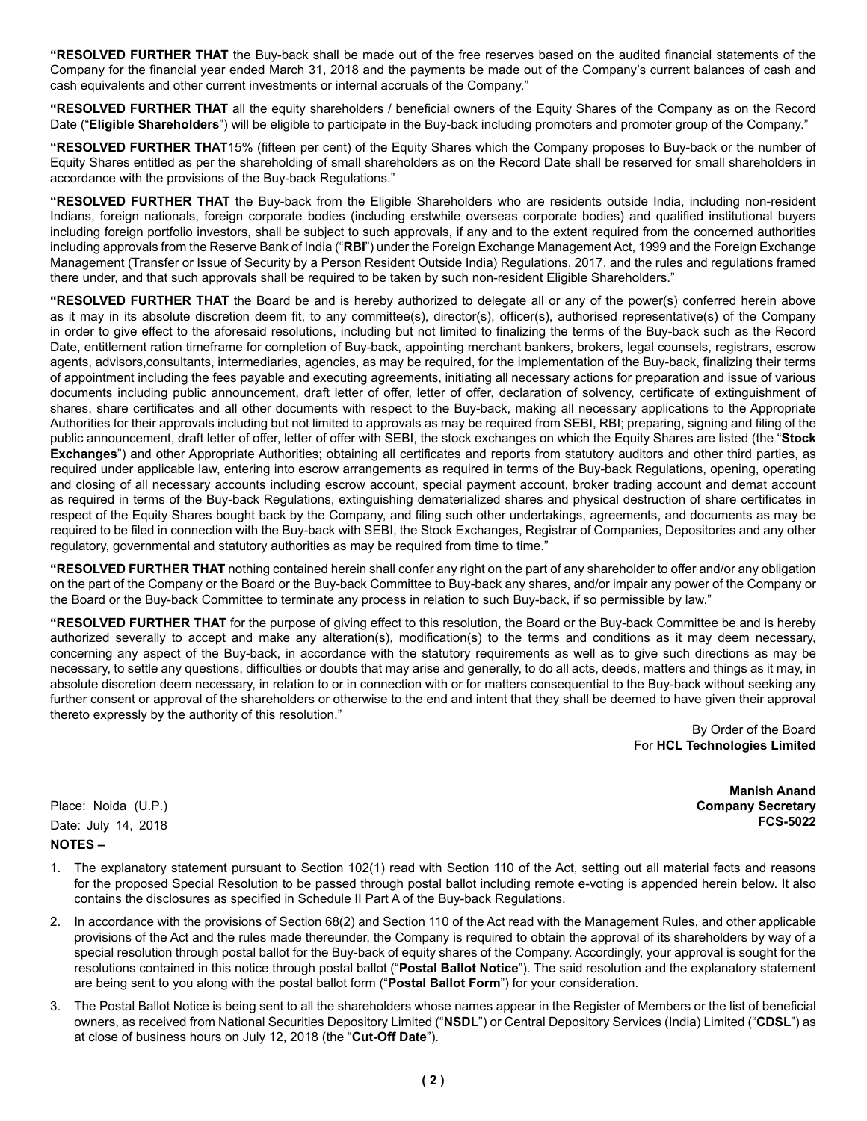**"RESOLVED FURTHER THAT** the Buy-back shall be made out of the free reserves based on the audited financial statements of the Company for the financial year ended March 31, 2018 and the payments be made out of the Company's current balances of cash and cash equivalents and other current investments or internal accruals of the Company."

**"RESOLVED FURTHER THAT** all the equity shareholders / beneficial owners of the Equity Shares of the Company as on the Record Date ("**Eligible Shareholders**") will be eligible to participate in the Buy-back including promoters and promoter group of the Company."

**"RESOLVED FURTHER THAT**15% (fifteen per cent) of the Equity Shares which the Company proposes to Buy-back or the number of Equity Shares entitled as per the shareholding of small shareholders as on the Record Date shall be reserved for small shareholders in accordance with the provisions of the Buy-back Regulations."

**"RESOLVED FURTHER THAT** the Buy-back from the Eligible Shareholders who are residents outside India, including non-resident Indians, foreign nationals, foreign corporate bodies (including erstwhile overseas corporate bodies) and qualified institutional buyers including foreign portfolio investors, shall be subject to such approvals, if any and to the extent required from the concerned authorities including approvals from the Reserve Bank of India ("**RBI**") under the Foreign Exchange Management Act, 1999 and the Foreign Exchange Management (Transfer or Issue of Security by a Person Resident Outside India) Regulations, 2017, and the rules and regulations framed there under, and that such approvals shall be required to be taken by such non-resident Eligible Shareholders."

**"RESOLVED FURTHER THAT** the Board be and is hereby authorized to delegate all or any of the power(s) conferred herein above as it may in its absolute discretion deem fit, to any committee(s), director(s), officer(s), authorised representative(s) of the Company in order to give effect to the aforesaid resolutions, including but not limited to finalizing the terms of the Buy-back such as the Record Date, entitlement ration timeframe for completion of Buy-back, appointing merchant bankers, brokers, legal counsels, registrars, escrow agents, advisors,consultants, intermediaries, agencies, as may be required, for the implementation of the Buy-back, finalizing their terms of appointment including the fees payable and executing agreements, initiating all necessary actions for preparation and issue of various documents including public announcement, draft letter of offer, letter of offer, declaration of solvency, certificate of extinguishment of shares, share certificates and all other documents with respect to the Buy-back, making all necessary applications to the Appropriate Authorities for their approvals including but not limited to approvals as may be required from SEBI, RBI; preparing, signing and filing of the public announcement, draft letter of offer, letter of offer with SEBI, the stock exchanges on which the Equity Shares are listed (the "**Stock Exchanges**") and other Appropriate Authorities; obtaining all certificates and reports from statutory auditors and other third parties, as required under applicable law, entering into escrow arrangements as required in terms of the Buy-back Regulations, opening, operating and closing of all necessary accounts including escrow account, special payment account, broker trading account and demat account as required in terms of the Buy-back Regulations, extinguishing dematerialized shares and physical destruction of share certificates in respect of the Equity Shares bought back by the Company, and filing such other undertakings, agreements, and documents as may be required to be filed in connection with the Buy-back with SEBI, the Stock Exchanges, Registrar of Companies, Depositories and any other regulatory, governmental and statutory authorities as may be required from time to time."

**"RESOLVED FURTHER THAT** nothing contained herein shall confer any right on the part of any shareholder to offer and/or any obligation on the part of the Company or the Board or the Buy-back Committee to Buy-back any shares, and/or impair any power of the Company or the Board or the Buy-back Committee to terminate any process in relation to such Buy-back, if so permissible by law."

**"RESOLVED FURTHER THAT** for the purpose of giving effect to this resolution, the Board or the Buy-back Committee be and is hereby authorized severally to accept and make any alteration(s), modification(s) to the terms and conditions as it may deem necessary, concerning any aspect of the Buy-back, in accordance with the statutory requirements as well as to give such directions as may be necessary, to settle any questions, difficulties or doubts that may arise and generally, to do all acts, deeds, matters and things as it may, in absolute discretion deem necessary, in relation to or in connection with or for matters consequential to the Buy-back without seeking any further consent or approval of the shareholders or otherwise to the end and intent that they shall be deemed to have given their approval thereto expressly by the authority of this resolution."

> By Order of the Board For **HCL Technologies Limited**

Place: Noida (U.P.) Date: July 14, 2018 **NOTES –**

**Manish Anand Company Secretary FCS-5022**

- 1. The explanatory statement pursuant to Section 102(1) read with Section 110 of the Act, setting out all material facts and reasons for the proposed Special Resolution to be passed through postal ballot including remote e-voting is appended herein below. It also contains the disclosures as specified in Schedule II Part A of the Buy-back Regulations.
- 2. In accordance with the provisions of Section 68(2) and Section 110 of the Act read with the Management Rules, and other applicable provisions of the Act and the rules made thereunder, the Company is required to obtain the approval of its shareholders by way of a special resolution through postal ballot for the Buy-back of equity shares of the Company. Accordingly, your approval is sought for the resolutions contained in this notice through postal ballot ("**Postal Ballot Notice**"). The said resolution and the explanatory statement are being sent to you along with the postal ballot form ("**Postal Ballot Form**") for your consideration.
- 3. The Postal Ballot Notice is being sent to all the shareholders whose names appear in the Register of Members or the list of beneficial owners, as received from National Securities Depository Limited ("**NSDL**") or Central Depository Services (India) Limited ("**CDSL**") as at close of business hours on July 12, 2018 (the "**Cut-Off Date**").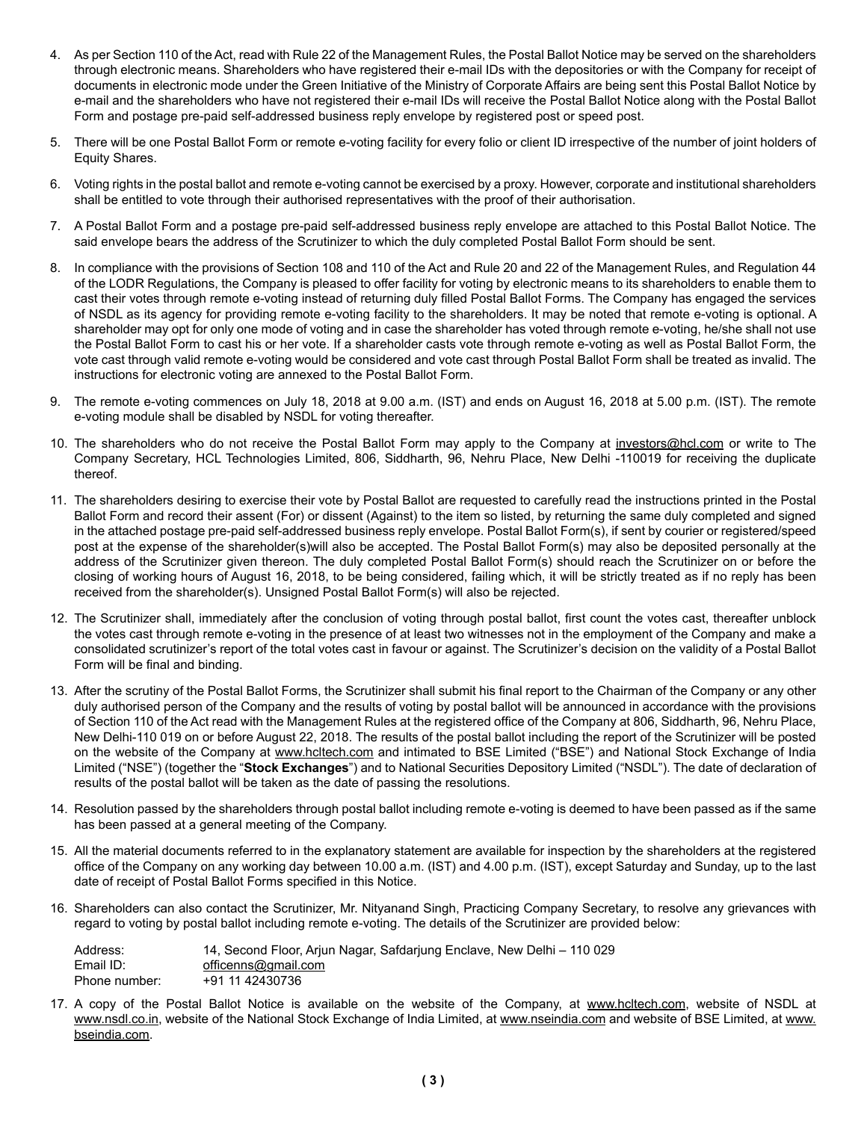- 4. As per Section 110 of the Act, read with Rule 22 of the Management Rules, the Postal Ballot Notice may be served on the shareholders through electronic means. Shareholders who have registered their e-mail IDs with the depositories or with the Company for receipt of documents in electronic mode under the Green Initiative of the Ministry of Corporate Affairs are being sent this Postal Ballot Notice by e-mail and the shareholders who have not registered their e-mail IDs will receive the Postal Ballot Notice along with the Postal Ballot Form and postage pre-paid self-addressed business reply envelope by registered post or speed post.
- 5. There will be one Postal Ballot Form or remote e-voting facility for every folio or client ID irrespective of the number of joint holders of Equity Shares.
- 6. Voting rights in the postal ballot and remote e-voting cannot be exercised by a proxy. However, corporate and institutional shareholders shall be entitled to vote through their authorised representatives with the proof of their authorisation.
- 7. A Postal Ballot Form and a postage pre-paid self-addressed business reply envelope are attached to this Postal Ballot Notice. The said envelope bears the address of the Scrutinizer to which the duly completed Postal Ballot Form should be sent.
- 8. In compliance with the provisions of Section 108 and 110 of the Act and Rule 20 and 22 of the Management Rules, and Regulation 44 of the LODR Regulations, the Company is pleased to offer facility for voting by electronic means to its shareholders to enable them to cast their votes through remote e-voting instead of returning duly filled Postal Ballot Forms. The Company has engaged the services of NSDL as its agency for providing remote e-voting facility to the shareholders. It may be noted that remote e-voting is optional. A shareholder may opt for only one mode of voting and in case the shareholder has voted through remote e-voting, he/she shall not use the Postal Ballot Form to cast his or her vote. If a shareholder casts vote through remote e-voting as well as Postal Ballot Form, the vote cast through valid remote e-voting would be considered and vote cast through Postal Ballot Form shall be treated as invalid. The instructions for electronic voting are annexed to the Postal Ballot Form.
- 9. The remote e-voting commences on July 18, 2018 at 9.00 a.m. (IST) and ends on August 16, 2018 at 5.00 p.m. (IST). The remote e-voting module shall be disabled by NSDL for voting thereafter.
- 10. The shareholders who do not receive the Postal Ballot Form may apply to the Company at investors@hcl.com or write to The Company Secretary, HCL Technologies Limited, 806, Siddharth, 96, Nehru Place, New Delhi -110019 for receiving the duplicate thereof.
- 11. The shareholders desiring to exercise their vote by Postal Ballot are requested to carefully read the instructions printed in the Postal Ballot Form and record their assent (For) or dissent (Against) to the item so listed, by returning the same duly completed and signed in the attached postage pre-paid self-addressed business reply envelope. Postal Ballot Form(s), if sent by courier or registered/speed post at the expense of the shareholder(s)will also be accepted. The Postal Ballot Form(s) may also be deposited personally at the address of the Scrutinizer given thereon. The duly completed Postal Ballot Form(s) should reach the Scrutinizer on or before the closing of working hours of August 16, 2018, to be being considered, failing which, it will be strictly treated as if no reply has been received from the shareholder(s). Unsigned Postal Ballot Form(s) will also be rejected.
- 12. The Scrutinizer shall, immediately after the conclusion of voting through postal ballot, first count the votes cast, thereafter unblock the votes cast through remote e-voting in the presence of at least two witnesses not in the employment of the Company and make a consolidated scrutinizer's report of the total votes cast in favour or against. The Scrutinizer's decision on the validity of a Postal Ballot Form will be final and binding.
- 13. After the scrutiny of the Postal Ballot Forms, the Scrutinizer shall submit his final report to the Chairman of the Company or any other duly authorised person of the Company and the results of voting by postal ballot will be announced in accordance with the provisions of Section 110 of the Act read with the Management Rules at the registered office of the Company at 806, Siddharth, 96, Nehru Place, New Delhi-110 019 on or before August 22, 2018. The results of the postal ballot including the report of the Scrutinizer will be posted on the website of the Company at www.hcltech.com and intimated to BSE Limited ("BSE") and National Stock Exchange of India Limited ("NSE") (together the "**Stock Exchanges**") and to National Securities Depository Limited ("NSDL"). The date of declaration of results of the postal ballot will be taken as the date of passing the resolutions.
- 14. Resolution passed by the shareholders through postal ballot including remote e-voting is deemed to have been passed as if the same has been passed at a general meeting of the Company.
- 15. All the material documents referred to in the explanatory statement are available for inspection by the shareholders at the registered office of the Company on any working day between 10.00 a.m. (IST) and 4.00 p.m. (IST), except Saturday and Sunday, up to the last date of receipt of Postal Ballot Forms specified in this Notice.
- 16. Shareholders can also contact the Scrutinizer, Mr. Nityanand Singh, Practicing Company Secretary, to resolve any grievances with regard to voting by postal ballot including remote e-voting. The details of the Scrutinizer are provided below:

| Address:      | 14, Second Floor, Arjun Nagar, Safdarjung Enclave, New Delhi – 110 029 |
|---------------|------------------------------------------------------------------------|
| Email ID:     | officenns@gmail.com                                                    |
| Phone number: | +91 11 42430736                                                        |

17. A copy of the Postal Ballot Notice is available on the website of the Company, at www.hcltech.com, website of NSDL at www.nsdl.co.in, website of the National Stock Exchange of India Limited, at www.nseindia.com and website of BSE Limited, at www. bseindia.com.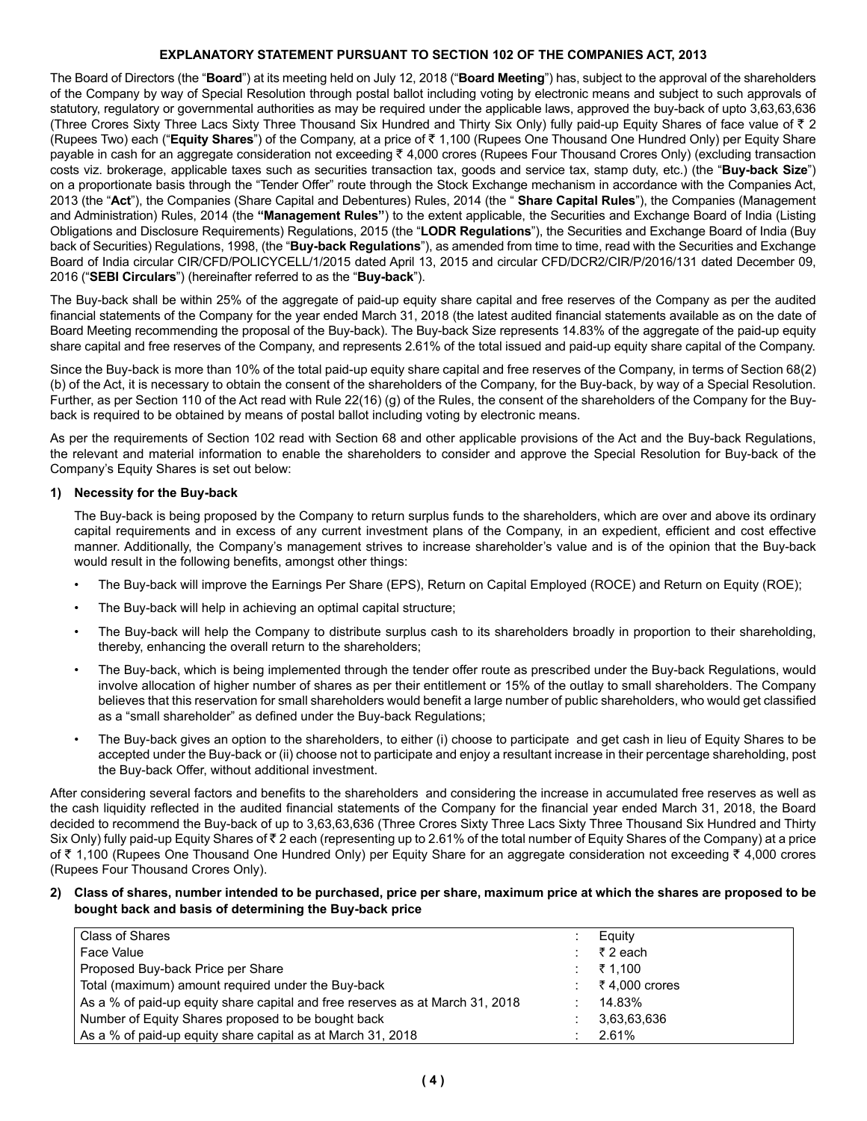### **EXPLANATORY STATEMENT PURSUANT TO SECTION 102 OF THE COMPANIES ACT, 2013**

The Board of Directors (the "**Board**") at its meeting held on July 12, 2018 ("**Board Meeting**") has, subject to the approval of the shareholders of the Company by way of Special Resolution through postal ballot including voting by electronic means and subject to such approvals of statutory, regulatory or governmental authorities as may be required under the applicable laws, approved the buy-back of upto 3,63,63,636 (Three Crores Sixty Three Lacs Sixty Three Thousand Six Hundred and Thirty Six Only) fully paid-up Equity Shares of face value of  $\bar{z}$  2 (Rupees Two) each ("Equity Shares") of the Company, at a price of ₹ 1,100 (Rupees One Thousand One Hundred Only) per Equity Share payable in cash for an aggregate consideration not exceeding  $\bar{\tau}$  4,000 crores (Rupees Four Thousand Crores Only) (excluding transaction costs viz. brokerage, applicable taxes such as securities transaction tax, goods and service tax, stamp duty, etc.) (the "**Buy-back Size**") on a proportionate basis through the "Tender Offer" route through the Stock Exchange mechanism in accordance with the Companies Act, 2013 (the "**Act**"), the Companies (Share Capital and Debentures) Rules, 2014 (the " **Share Capital Rules**"), the Companies (Management and Administration) Rules, 2014 (the **"Management Rules"**) to the extent applicable, the Securities and Exchange Board of India (Listing Obligations and Disclosure Requirements) Regulations, 2015 (the "**LODR Regulations**"), the Securities and Exchange Board of India (Buy back of Securities) Regulations, 1998, (the "**Buy-back Regulations**"), as amended from time to time, read with the Securities and Exchange Board of India circular CIR/CFD/POLICYCELL/1/2015 dated April 13, 2015 and circular CFD/DCR2/CIR/P/2016/131 dated December 09, 2016 ("**SEBI Circulars**") (hereinafter referred to as the "**Buy-back**").

The Buy-back shall be within 25% of the aggregate of paid-up equity share capital and free reserves of the Company as per the audited financial statements of the Company for the year ended March 31, 2018 (the latest audited financial statements available as on the date of Board Meeting recommending the proposal of the Buy-back). The Buy-back Size represents 14.83% of the aggregate of the paid-up equity share capital and free reserves of the Company, and represents 2.61% of the total issued and paid-up equity share capital of the Company.

Since the Buy-back is more than 10% of the total paid-up equity share capital and free reserves of the Company, in terms of Section 68(2) (b) of the Act, it is necessary to obtain the consent of the shareholders of the Company, for the Buy-back, by way of a Special Resolution. Further, as per Section 110 of the Act read with Rule 22(16) (g) of the Rules, the consent of the shareholders of the Company for the Buyback is required to be obtained by means of postal ballot including voting by electronic means.

As per the requirements of Section 102 read with Section 68 and other applicable provisions of the Act and the Buy-back Regulations, the relevant and material information to enable the shareholders to consider and approve the Special Resolution for Buy-back of the Company's Equity Shares is set out below:

### **1) Necessity for the Buy-back**

The Buy-back is being proposed by the Company to return surplus funds to the shareholders, which are over and above its ordinary capital requirements and in excess of any current investment plans of the Company, in an expedient, efficient and cost effective manner. Additionally, the Company's management strives to increase shareholder's value and is of the opinion that the Buy-back would result in the following benefits, amongst other things:

- The Buy-back will improve the Earnings Per Share (EPS), Return on Capital Employed (ROCE) and Return on Equity (ROE);
- The Buy-back will help in achieving an optimal capital structure;
- The Buy-back will help the Company to distribute surplus cash to its shareholders broadly in proportion to their shareholding, thereby, enhancing the overall return to the shareholders;
- The Buy-back, which is being implemented through the tender offer route as prescribed under the Buy-back Regulations, would involve allocation of higher number of shares as per their entitlement or 15% of the outlay to small shareholders. The Company believes that this reservation for small shareholders would benefit a large number of public shareholders, who would get classified as a "small shareholder" as defined under the Buy-back Regulations;
- The Buy-back gives an option to the shareholders, to either (i) choose to participate and get cash in lieu of Equity Shares to be accepted under the Buy-back or (ii) choose not to participate and enjoy a resultant increase in their percentage shareholding, post the Buy-back Offer, without additional investment.

After considering several factors and benefits to the shareholders and considering the increase in accumulated free reserves as well as the cash liquidity reflected in the audited financial statements of the Company for the financial year ended March 31, 2018, the Board decided to recommend the Buy-back of up to 3,63,63,636 (Three Crores Sixty Three Lacs Sixty Three Thousand Six Hundred and Thirty Six Only) fully paid-up Equity Shares of  $\bar{\tau}$  2 each (representing up to 2.61% of the total number of Equity Shares of the Company) at a price of ₹ 1,100 (Rupees One Thousand One Hundred Only) per Equity Share for an aggregate consideration not exceeding ₹ 4,000 crores (Rupees Four Thousand Crores Only).

#### **2) Class of shares, number intended to be purchased, price per share, maximum price at which the shares are proposed to be bought back and basis of determining the Buy-back price**

| Class of Shares                                                               | Equity        |
|-------------------------------------------------------------------------------|---------------|
| Face Value                                                                    | ₹2 each       |
| Proposed Buy-back Price per Share                                             | ₹ 1.100       |
| Total (maximum) amount required under the Buy-back                            | ₹4.000 crores |
| As a % of paid-up equity share capital and free reserves as at March 31, 2018 | 14.83%        |
| Number of Equity Shares proposed to be bought back                            | 3.63.63.636   |
| As a % of paid-up equity share capital as at March 31, 2018                   | 2.61%         |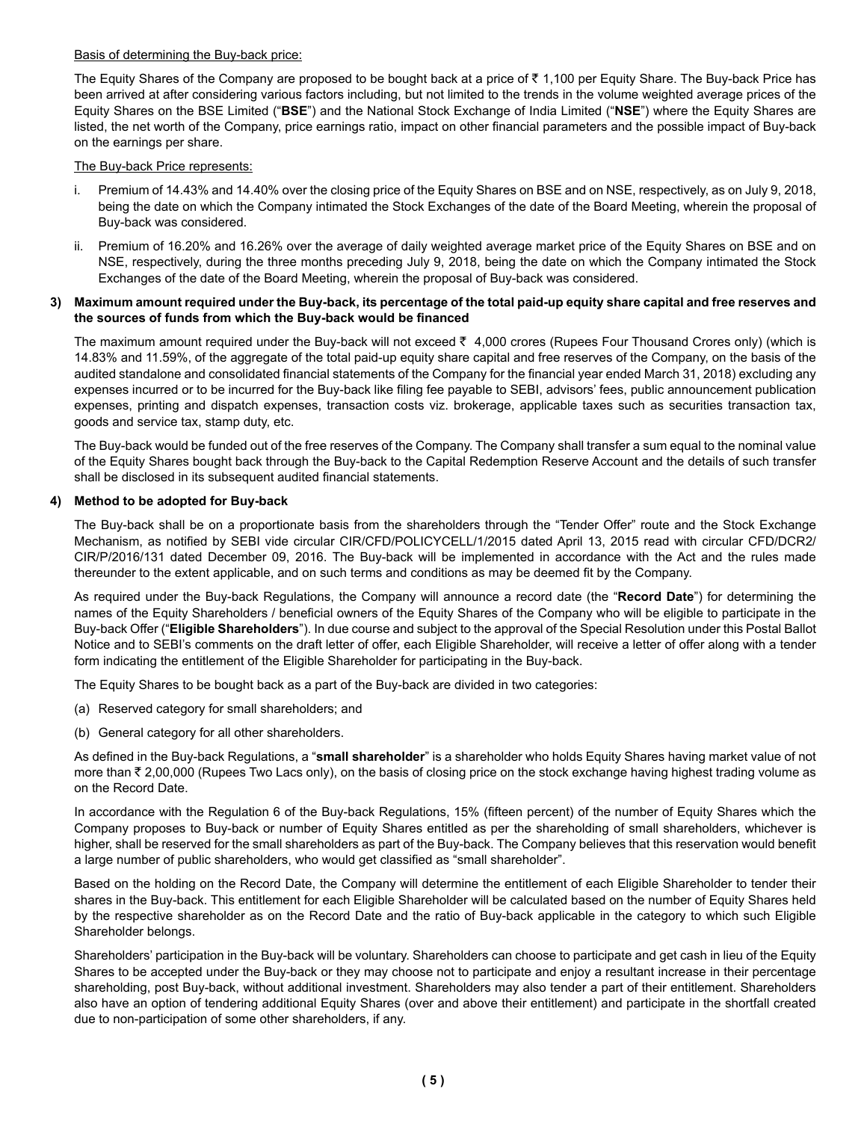#### Basis of determining the Buy-back price:

The Equity Shares of the Company are proposed to be bought back at a price of  $\bar{\tau}$  1,100 per Equity Share. The Buy-back Price has been arrived at after considering various factors including, but not limited to the trends in the volume weighted average prices of the Equity Shares on the BSE Limited ("**BSE**") and the National Stock Exchange of India Limited ("**NSE**") where the Equity Shares are listed, the net worth of the Company, price earnings ratio, impact on other financial parameters and the possible impact of Buy-back on the earnings per share.

#### The Buy-back Price represents:

- i. Premium of 14.43% and 14.40% over the closing price of the Equity Shares on BSE and on NSE, respectively, as on July 9, 2018, being the date on which the Company intimated the Stock Exchanges of the date of the Board Meeting, wherein the proposal of Buy-back was considered.
- ii. Premium of 16.20% and 16.26% over the average of daily weighted average market price of the Equity Shares on BSE and on NSE, respectively, during the three months preceding July 9, 2018, being the date on which the Company intimated the Stock Exchanges of the date of the Board Meeting, wherein the proposal of Buy-back was considered.

#### **3) Maximum amount required under the Buy-back, its percentage of the total paid-up equity share capital and free reserves and the sources of funds from which the Buy-back would be financed**

The maximum amount required under the Buy-back will not exceed  $\bar{\tau}$  4,000 crores (Rupees Four Thousand Crores only) (which is 14.83% and 11.59%, of the aggregate of the total paid-up equity share capital and free reserves of the Company, on the basis of the audited standalone and consolidated financial statements of the Company for the financial year ended March 31, 2018) excluding any expenses incurred or to be incurred for the Buy-back like filing fee payable to SEBI, advisors' fees, public announcement publication expenses, printing and dispatch expenses, transaction costs viz. brokerage, applicable taxes such as securities transaction tax, goods and service tax, stamp duty, etc.

The Buy-back would be funded out of the free reserves of the Company. The Company shall transfer a sum equal to the nominal value of the Equity Shares bought back through the Buy-back to the Capital Redemption Reserve Account and the details of such transfer shall be disclosed in its subsequent audited financial statements.

### **4) Method to be adopted for Buy-back**

The Buy-back shall be on a proportionate basis from the shareholders through the "Tender Offer" route and the Stock Exchange Mechanism, as notified by SEBI vide circular CIR/CFD/POLICYCELL/1/2015 dated April 13, 2015 read with circular CFD/DCR2/ CIR/P/2016/131 dated December 09, 2016. The Buy-back will be implemented in accordance with the Act and the rules made thereunder to the extent applicable, and on such terms and conditions as may be deemed fit by the Company.

As required under the Buy-back Regulations, the Company will announce a record date (the "**Record Date**") for determining the names of the Equity Shareholders / beneficial owners of the Equity Shares of the Company who will be eligible to participate in the Buy-back Offer ("**Eligible Shareholders**"). In due course and subject to the approval of the Special Resolution under this Postal Ballot Notice and to SEBI's comments on the draft letter of offer, each Eligible Shareholder, will receive a letter of offer along with a tender form indicating the entitlement of the Eligible Shareholder for participating in the Buy-back.

The Equity Shares to be bought back as a part of the Buy-back are divided in two categories:

- (a) Reserved category for small shareholders; and
- (b) General category for all other shareholders.

As defined in the Buy-back Regulations, a "**small shareholder**" is a shareholder who holds Equity Shares having market value of not more than ₹ 2,00,000 (Rupees Two Lacs only), on the basis of closing price on the stock exchange having highest trading volume as on the Record Date.

In accordance with the Regulation 6 of the Buy-back Regulations, 15% (fifteen percent) of the number of Equity Shares which the Company proposes to Buy-back or number of Equity Shares entitled as per the shareholding of small shareholders, whichever is higher, shall be reserved for the small shareholders as part of the Buy-back. The Company believes that this reservation would benefit a large number of public shareholders, who would get classified as "small shareholder".

Based on the holding on the Record Date, the Company will determine the entitlement of each Eligible Shareholder to tender their shares in the Buy-back. This entitlement for each Eligible Shareholder will be calculated based on the number of Equity Shares held by the respective shareholder as on the Record Date and the ratio of Buy-back applicable in the category to which such Eligible Shareholder belongs.

Shareholders' participation in the Buy-back will be voluntary. Shareholders can choose to participate and get cash in lieu of the Equity Shares to be accepted under the Buy-back or they may choose not to participate and enjoy a resultant increase in their percentage shareholding, post Buy-back, without additional investment. Shareholders may also tender a part of their entitlement. Shareholders also have an option of tendering additional Equity Shares (over and above their entitlement) and participate in the shortfall created due to non-participation of some other shareholders, if any.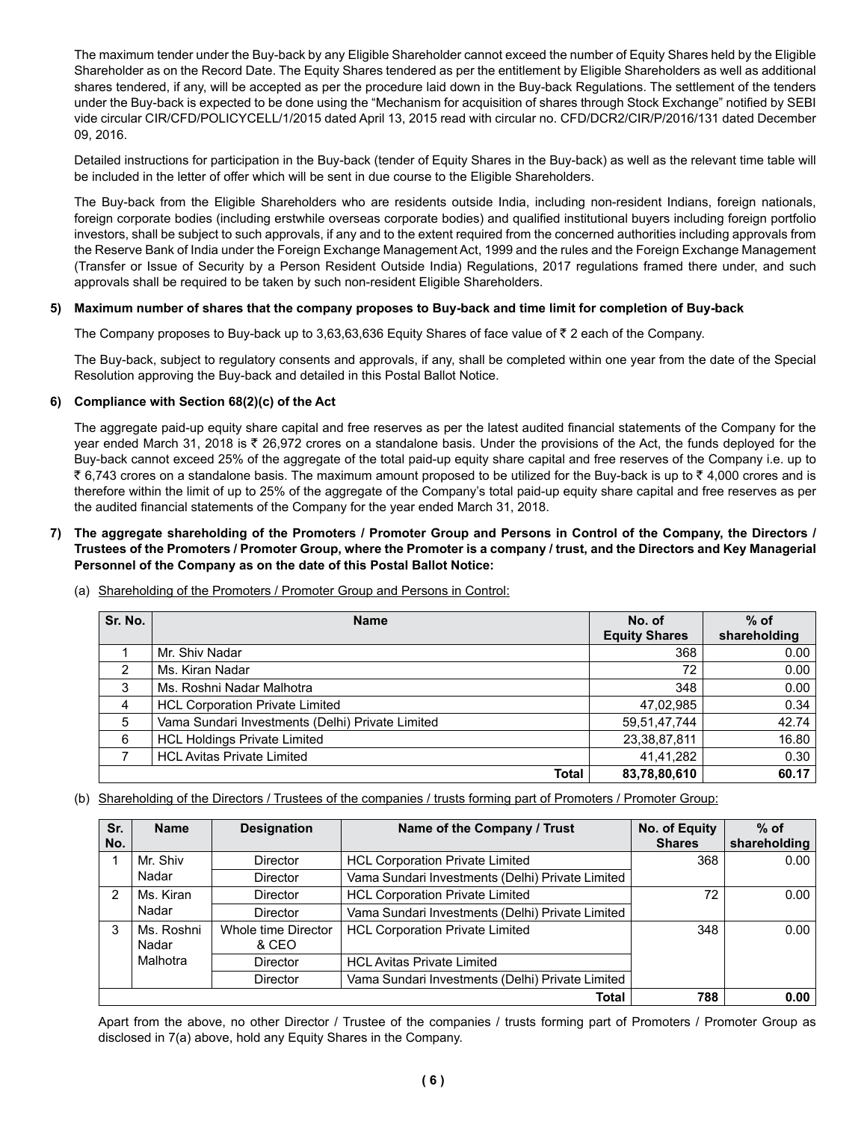The maximum tender under the Buy-back by any Eligible Shareholder cannot exceed the number of Equity Shares held by the Eligible Shareholder as on the Record Date. The Equity Shares tendered as per the entitlement by Eligible Shareholders as well as additional shares tendered, if any, will be accepted as per the procedure laid down in the Buy-back Regulations. The settlement of the tenders under the Buy-back is expected to be done using the "Mechanism for acquisition of shares through Stock Exchange" notified by SEBI vide circular CIR/CFD/POLICYCELL/1/2015 dated April 13, 2015 read with circular no. CFD/DCR2/CIR/P/2016/131 dated December 09, 2016.

Detailed instructions for participation in the Buy-back (tender of Equity Shares in the Buy-back) as well as the relevant time table will be included in the letter of offer which will be sent in due course to the Eligible Shareholders.

The Buy-back from the Eligible Shareholders who are residents outside India, including non-resident Indians, foreign nationals, foreign corporate bodies (including erstwhile overseas corporate bodies) and qualified institutional buyers including foreign portfolio investors, shall be subject to such approvals, if any and to the extent required from the concerned authorities including approvals from the Reserve Bank of India under the Foreign Exchange Management Act, 1999 and the rules and the Foreign Exchange Management (Transfer or Issue of Security by a Person Resident Outside India) Regulations, 2017 regulations framed there under, and such approvals shall be required to be taken by such non-resident Eligible Shareholders.

### **5) Maximum number of shares that the company proposes to Buy-back and time limit for completion of Buy-back**

The Company proposes to Buy-back up to 3,63,63,636 Equity Shares of face value of  $\bar{\tau}$  2 each of the Company.

The Buy-back, subject to regulatory consents and approvals, if any, shall be completed within one year from the date of the Special Resolution approving the Buy-back and detailed in this Postal Ballot Notice.

### **6) Compliance with Section 68(2)(c) of the Act**

The aggregate paid-up equity share capital and free reserves as per the latest audited financial statements of the Company for the year ended March 31, 2018 is ₹ 26,972 crores on a standalone basis. Under the provisions of the Act, the funds deployed for the Buy-back cannot exceed 25% of the aggregate of the total paid-up equity share capital and free reserves of the Company i.e. up to ₹ 6,743 crores on a standalone basis. The maximum amount proposed to be utilized for the Buy-back is up to ₹ 4,000 crores and is therefore within the limit of up to 25% of the aggregate of the Company's total paid-up equity share capital and free reserves as per the audited financial statements of the Company for the year ended March 31, 2018.

#### **7) The aggregate shareholding of the Promoters / Promoter Group and Persons in Control of the Company, the Directors / Trustees of the Promoters / Promoter Group, where the Promoter is a company / trust, and the Directors and Key Managerial Personnel of the Company as on the date of this Postal Ballot Notice:**

| Sr. No. | <b>Name</b>                                      | No. of<br><b>Equity Shares</b> | $%$ of<br>shareholding |
|---------|--------------------------------------------------|--------------------------------|------------------------|
|         | Mr. Shiv Nadar                                   | 368                            | 0.00                   |
| 2       | Ms. Kiran Nadar                                  | 72                             | 0.00                   |
| 3       | Ms. Roshni Nadar Malhotra                        | 348                            | 0.00                   |
| 4       | <b>HCL Corporation Private Limited</b>           | 47,02,985                      | 0.34                   |
| 5       | Vama Sundari Investments (Delhi) Private Limited | 59,51,47,744                   | 42.74                  |
| 6       | <b>HCL Holdings Private Limited</b>              | 23,38,87,811                   | 16.80                  |
|         | <b>HCL Avitas Private Limited</b>                | 41.41.282                      | 0.30                   |
|         | <b>Total</b>                                     | 83,78,80,610                   | 60.17                  |

(a) Shareholding of the Promoters / Promoter Group and Persons in Control:

(b) Shareholding of the Directors / Trustees of the companies / trusts forming part of Promoters / Promoter Group:

| Sr.           | <b>Name</b> | <b>Designation</b>  | Name of the Company / Trust                      | No. of Equity | $%$ of       |
|---------------|-------------|---------------------|--------------------------------------------------|---------------|--------------|
| No.           |             |                     |                                                  | <b>Shares</b> | shareholding |
|               | Mr. Shiv    | <b>Director</b>     | <b>HCL Corporation Private Limited</b>           | 368           | 0.00         |
|               | Nadar       | <b>Director</b>     | Vama Sundari Investments (Delhi) Private Limited |               |              |
| $\mathcal{P}$ | Ms. Kiran   | <b>Director</b>     | <b>HCL Corporation Private Limited</b>           | 72            | 0.00         |
|               | Nadar       | <b>Director</b>     | Vama Sundari Investments (Delhi) Private Limited |               |              |
| 3             | Ms. Roshni  | Whole time Director | <b>HCL Corporation Private Limited</b>           | 348           | 0.00         |
|               | Nadar       | & CEO               |                                                  |               |              |
|               | Malhotra    | <b>Director</b>     | <b>HCL Avitas Private Limited</b>                |               |              |
|               |             | <b>Director</b>     | Vama Sundari Investments (Delhi) Private Limited |               |              |
|               |             |                     | <b>Total</b>                                     | 788           | 0.00         |

Apart from the above, no other Director / Trustee of the companies / trusts forming part of Promoters / Promoter Group as disclosed in 7(a) above, hold any Equity Shares in the Company.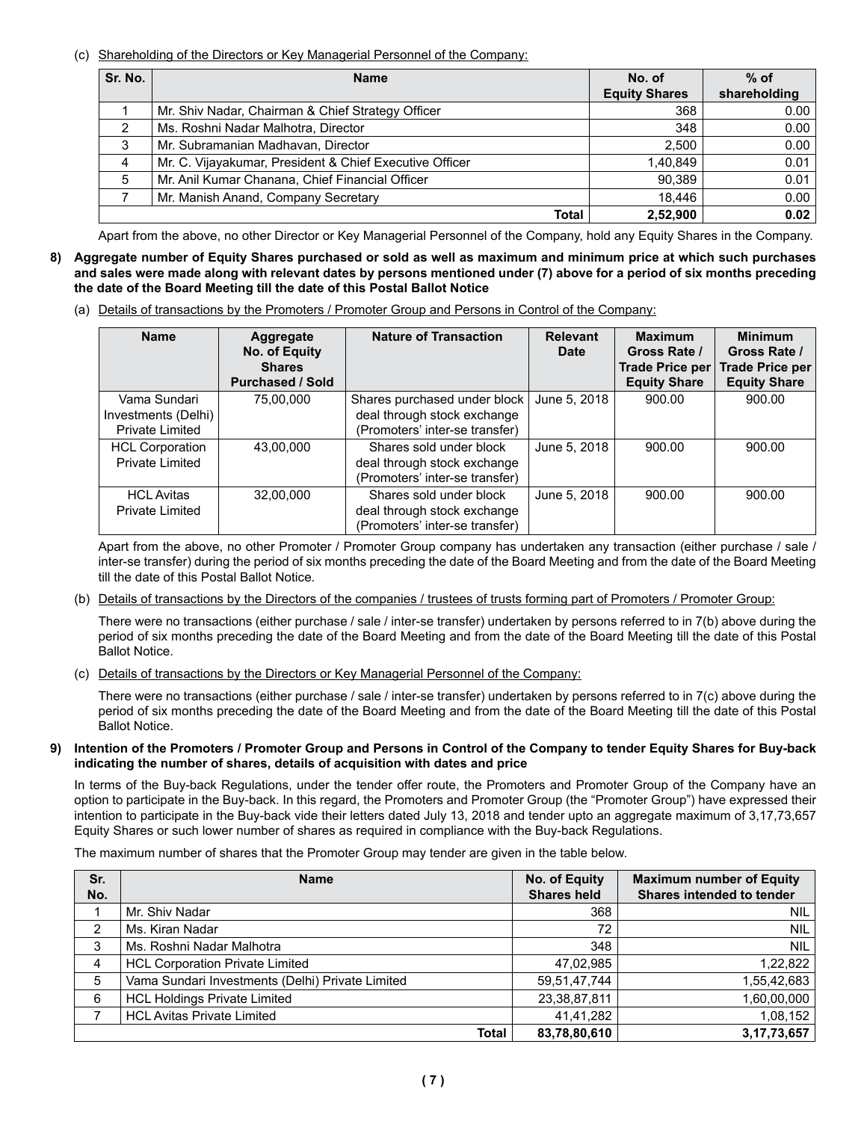(c) Shareholding of the Directors or Key Managerial Personnel of the Company:

| Sr. No. | <b>Name</b>                                             | No. of               | $%$ of       |
|---------|---------------------------------------------------------|----------------------|--------------|
|         |                                                         | <b>Equity Shares</b> | shareholding |
|         | Mr. Shiv Nadar, Chairman & Chief Strategy Officer       | 368                  | 0.00         |
| 2       | Ms. Roshni Nadar Malhotra, Director                     | 348                  | 0.00         |
| 3       | Mr. Subramanian Madhavan, Director                      | 2.500                | 0.00         |
| 4       | Mr. C. Vijayakumar, President & Chief Executive Officer | 1,40,849             | 0.01         |
| 5       | Mr. Anil Kumar Chanana, Chief Financial Officer         | 90.389               | 0.01         |
|         | Mr. Manish Anand, Company Secretary                     | 18.446               | 0.00         |
|         | <b>Total</b>                                            | 2.52.900             | 0.02         |

Apart from the above, no other Director or Key Managerial Personnel of the Company, hold any Equity Shares in the Company.

- **8) Aggregate number of Equity Shares purchased or sold as well as maximum and minimum price at which such purchases and sales were made along with relevant dates by persons mentioned under (7) above for a period of six months preceding the date of the Board Meeting till the date of this Postal Ballot Notice**
	- (a) Details of transactions by the Promoters / Promoter Group and Persons in Control of the Company:

| <b>Name</b>                                                   | Aggregate<br>No. of Equity<br><b>Shares</b><br><b>Purchased / Sold</b> | <b>Nature of Transaction</b>                                                                  | <b>Relevant</b><br>Date | <b>Maximum</b><br>Gross Rate /<br><b>Trade Price per</b><br><b>Equity Share</b> | <b>Minimum</b><br>Gross Rate /<br><b>Trade Price per</b><br><b>Equity Share</b> |
|---------------------------------------------------------------|------------------------------------------------------------------------|-----------------------------------------------------------------------------------------------|-------------------------|---------------------------------------------------------------------------------|---------------------------------------------------------------------------------|
| Vama Sundari<br>Investments (Delhi)<br><b>Private Limited</b> | 75,00,000                                                              | Shares purchased under block<br>deal through stock exchange<br>(Promoters' inter-se transfer) | June 5, 2018            | 900.00                                                                          | 900.00                                                                          |
| <b>HCL Corporation</b><br><b>Private Limited</b>              | 43.00.000                                                              | Shares sold under block<br>deal through stock exchange<br>(Promoters' inter-se transfer)      | June 5, 2018            | 900.00                                                                          | 900.00                                                                          |
| <b>HCL Avitas</b><br><b>Private Limited</b>                   | 32,00,000                                                              | Shares sold under block<br>deal through stock exchange<br>(Promoters' inter-se transfer)      | June 5, 2018            | 900.00                                                                          | 900.00                                                                          |

Apart from the above, no other Promoter / Promoter Group company has undertaken any transaction (either purchase / sale / inter-se transfer) during the period of six months preceding the date of the Board Meeting and from the date of the Board Meeting till the date of this Postal Ballot Notice.

(b) Details of transactions by the Directors of the companies / trustees of trusts forming part of Promoters / Promoter Group:

 There were no transactions (either purchase / sale / inter-se transfer) undertaken by persons referred to in 7(b) above during the period of six months preceding the date of the Board Meeting and from the date of the Board Meeting till the date of this Postal Ballot Notice.

(c) Details of transactions by the Directors or Key Managerial Personnel of the Company:

 There were no transactions (either purchase / sale / inter-se transfer) undertaken by persons referred to in 7(c) above during the period of six months preceding the date of the Board Meeting and from the date of the Board Meeting till the date of this Postal Ballot Notice.

#### **9) Intention of the Promoters / Promoter Group and Persons in Control of the Company to tender Equity Shares for Buy-back indicating the number of shares, details of acquisition with dates and price**

In terms of the Buy-back Regulations, under the tender offer route, the Promoters and Promoter Group of the Company have an option to participate in the Buy-back. In this regard, the Promoters and Promoter Group (the "Promoter Group") have expressed their intention to participate in the Buy-back vide their letters dated July 13, 2018 and tender upto an aggregate maximum of 3,17,73,657 Equity Shares or such lower number of shares as required in compliance with the Buy-back Regulations.

The maximum number of shares that the Promoter Group may tender are given in the table below.

| Sr. | <b>Name</b>                                      | No. of Equity      | <b>Maximum number of Equity</b>  |
|-----|--------------------------------------------------|--------------------|----------------------------------|
| No. |                                                  | <b>Shares held</b> | <b>Shares intended to tender</b> |
|     | Mr. Shiv Nadar                                   | 368                | <b>NIL</b>                       |
| 2   | Ms. Kiran Nadar                                  | 72                 | <b>NIL</b>                       |
| 3   | Ms. Roshni Nadar Malhotra                        | 348                | <b>NIL</b>                       |
| 4   | <b>HCL Corporation Private Limited</b>           | 47,02,985          | 1,22,822                         |
| 5   | Vama Sundari Investments (Delhi) Private Limited | 59,51,47,744       | 1,55,42,683                      |
| 6   | <b>HCL Holdings Private Limited</b>              | 23,38,87,811       | 1,60,00,000                      |
|     | <b>HCL Avitas Private Limited</b>                | 41,41,282          | 1,08,152                         |
|     | <b>Total</b>                                     | 83,78,80,610       | 3, 17, 73, 657                   |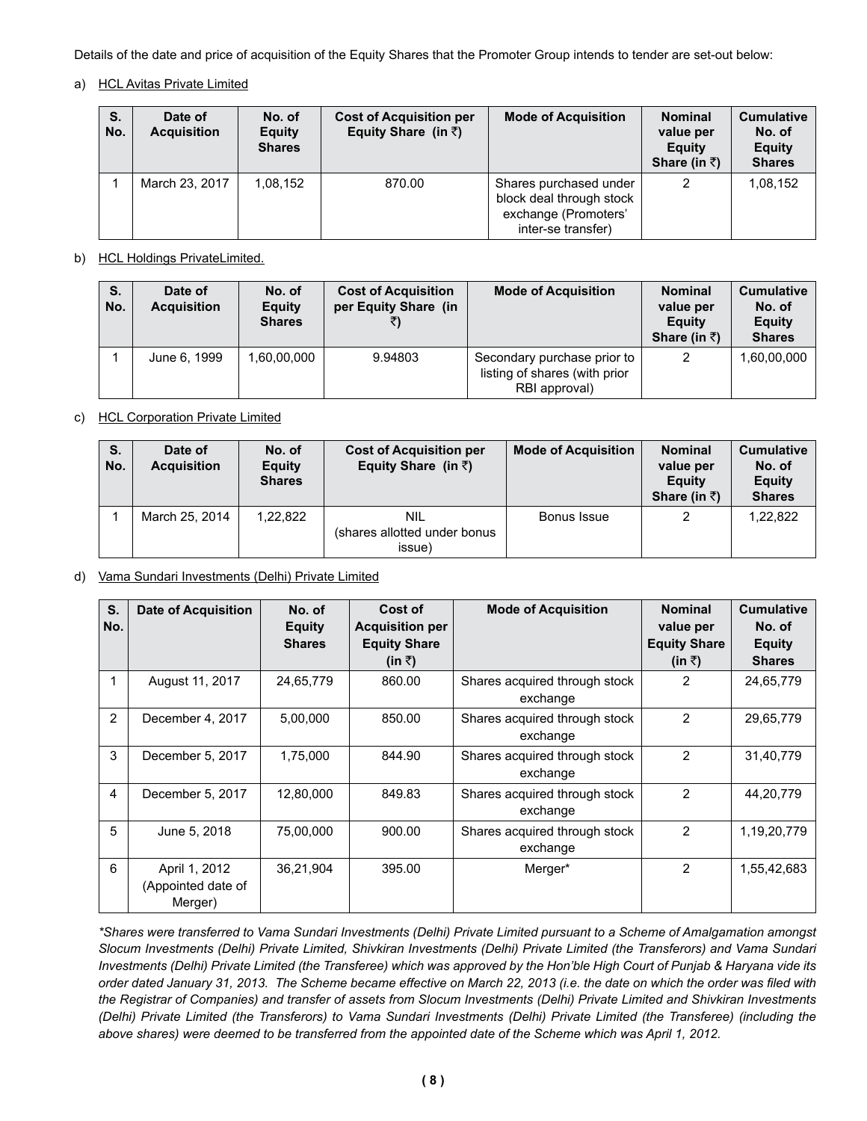Details of the date and price of acquisition of the Equity Shares that the Promoter Group intends to tender are set-out below:

## a) HCL Avitas Private Limited

| S.<br>No. | Date of<br><b>Acquisition</b> | No. of<br>Equity<br><b>Shares</b> | <b>Cost of Acquisition per</b><br>Equity Share (in $\bar{z}$ ) | <b>Mode of Acquisition</b>                                                                       | <b>Nominal</b><br>value per<br>Equity<br>Share (in ₹) | <b>Cumulative</b><br>No. of<br><b>Equity</b><br><b>Shares</b> |
|-----------|-------------------------------|-----------------------------------|----------------------------------------------------------------|--------------------------------------------------------------------------------------------------|-------------------------------------------------------|---------------------------------------------------------------|
|           | March 23, 2017                | 1.08.152                          | 870.00                                                         | Shares purchased under<br>block deal through stock<br>exchange (Promoters'<br>inter-se transfer) | າ                                                     | 1,08,152                                                      |

## b) HCL Holdings PrivateLimited.

| S.<br>No. | Date of<br><b>Acquisition</b> | No. of<br><b>Equity</b><br><b>Shares</b> | <b>Cost of Acquisition</b><br>per Equity Share (in | <b>Mode of Acquisition</b>                                                    | <b>Nominal</b><br>value per<br><b>Equity</b><br>Share (in ₹) | <b>Cumulative</b><br>No. of<br><b>Equity</b><br><b>Shares</b> |
|-----------|-------------------------------|------------------------------------------|----------------------------------------------------|-------------------------------------------------------------------------------|--------------------------------------------------------------|---------------------------------------------------------------|
|           | June 6, 1999                  | .60,00,000                               | 9.94803                                            | Secondary purchase prior to<br>listing of shares (with prior<br>RBI approval) | 2                                                            | 1.60.00.000                                                   |

## c) HCL Corporation Private Limited

| S.<br>No. | Date of<br><b>Acquisition</b> | No. of<br>Equity<br><b>Shares</b> | <b>Cost of Acquisition per</b><br>Equity Share (in $\bar{z}$ ) | <b>Mode of Acquisition</b> | <b>Nominal</b><br>value per<br>Equity<br>Share (in ₹) | <b>Cumulative</b><br>No. of<br><b>Equity</b><br><b>Shares</b> |
|-----------|-------------------------------|-----------------------------------|----------------------------------------------------------------|----------------------------|-------------------------------------------------------|---------------------------------------------------------------|
|           | March 25, 2014                | 1.22.822                          | <b>NIL</b><br>(shares allotted under bonus<br>issue)           | Bonus Issue                |                                                       | 1.22.822                                                      |

## d) Vama Sundari Investments (Delhi) Private Limited

| S.<br>No. | <b>Date of Acquisition</b>                     | No. of<br><b>Equity</b><br><b>Shares</b> | Cost of<br><b>Acquisition per</b><br><b>Equity Share</b><br>(in ₹) | <b>Mode of Acquisition</b>                | <b>Nominal</b><br>value per<br><b>Equity Share</b><br>(in ₹) | <b>Cumulative</b><br>No. of<br><b>Equity</b><br><b>Shares</b> |
|-----------|------------------------------------------------|------------------------------------------|--------------------------------------------------------------------|-------------------------------------------|--------------------------------------------------------------|---------------------------------------------------------------|
|           | August 11, 2017                                | 24,65,779                                | 860.00                                                             | Shares acquired through stock<br>exchange | 2                                                            | 24,65,779                                                     |
| 2         | December 4, 2017                               | 5,00,000                                 | 850.00                                                             | Shares acquired through stock<br>exchange | 2                                                            | 29,65,779                                                     |
| 3         | December 5, 2017                               | 1,75,000                                 | 844.90                                                             | Shares acquired through stock<br>exchange | 2                                                            | 31,40,779                                                     |
| 4         | December 5, 2017                               | 12.80.000                                | 849.83                                                             | Shares acquired through stock<br>exchange | $\overline{2}$                                               | 44,20,779                                                     |
| 5         | June 5, 2018                                   | 75.00.000                                | 900.00                                                             | Shares acquired through stock<br>exchange | $\overline{2}$                                               | 1,19,20,779                                                   |
| 6         | April 1, 2012<br>(Appointed date of<br>Merger) | 36,21,904                                | 395.00                                                             | Merger*                                   | $\overline{2}$                                               | 1,55,42,683                                                   |

*\*Shares were transferred to Vama Sundari Investments (Delhi) Private Limited pursuant to a Scheme of Amalgamation amongst Slocum Investments (Delhi) Private Limited, Shivkiran Investments (Delhi) Private Limited (the Transferors) and Vama Sundari Investments (Delhi) Private Limited (the Transferee) which was approved by the Hon'ble High Court of Punjab & Haryana vide its order dated January 31, 2013. The Scheme became effective on March 22, 2013 (i.e. the date on which the order was filed with the Registrar of Companies) and transfer of assets from Slocum Investments (Delhi) Private Limited and Shivkiran Investments (Delhi) Private Limited (the Transferors) to Vama Sundari Investments (Delhi) Private Limited (the Transferee) (including the above shares) were deemed to be transferred from the appointed date of the Scheme which was April 1, 2012.*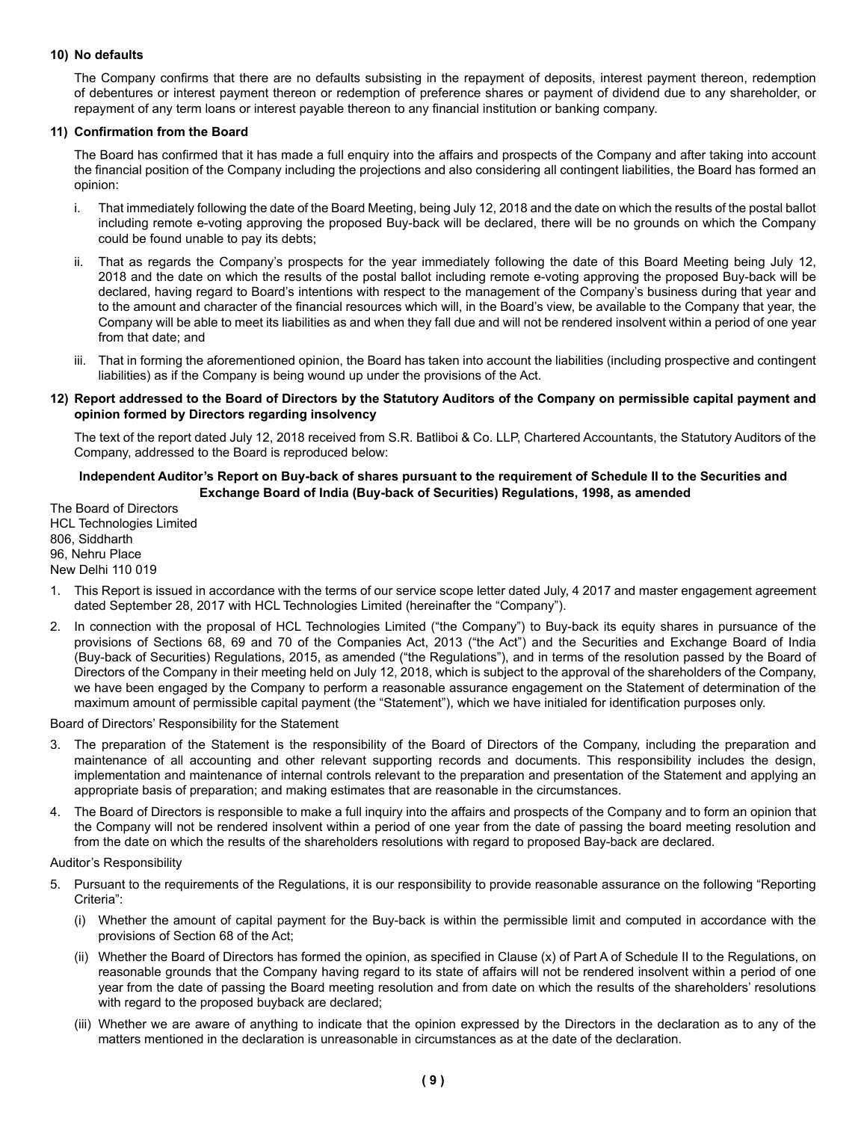### **10) No defaults**

The Company confirms that there are no defaults subsisting in the repayment of deposits, interest payment thereon, redemption of debentures or interest payment thereon or redemption of preference shares or payment of dividend due to any shareholder, or repayment of any term loans or interest payable thereon to any financial institution or banking company.

#### **11) Confirmation from the Board**

The Board has confirmed that it has made a full enquiry into the affairs and prospects of the Company and after taking into account the financial position of the Company including the projections and also considering all contingent liabilities, the Board has formed an opinion:

- i. That immediately following the date of the Board Meeting, being July 12, 2018 and the date on which the results of the postal ballot including remote e-voting approving the proposed Buy-back will be declared, there will be no grounds on which the Company could be found unable to pay its debts;
- ii. That as regards the Company's prospects for the year immediately following the date of this Board Meeting being July 12, 2018 and the date on which the results of the postal ballot including remote e-voting approving the proposed Buy-back will be declared, having regard to Board's intentions with respect to the management of the Company's business during that year and to the amount and character of the financial resources which will, in the Board's view, be available to the Company that year, the Company will be able to meet its liabilities as and when they fall due and will not be rendered insolvent within a period of one year from that date; and
- iii. That in forming the aforementioned opinion, the Board has taken into account the liabilities (including prospective and contingent liabilities) as if the Company is being wound up under the provisions of the Act.

#### **12) Report addressed to the Board of Directors by the Statutory Auditors of the Company on permissible capital payment and opinion formed by Directors regarding insolvency**

The text of the report dated July 12, 2018 received from S.R. Batliboi & Co. LLP, Chartered Accountants, the Statutory Auditors of the Company, addressed to the Board is reproduced below:

### **Independent Auditor's Report on Buy-back of shares pursuant to the requirement of Schedule II to the Securities and Exchange Board of India (Buy-back of Securities) Regulations, 1998, as amended**

The Board of Directors HCL Technologies Limited 806, Siddharth 96, Nehru Place New Delhi 110 019

- 1. This Report is issued in accordance with the terms of our service scope letter dated July, 4 2017 and master engagement agreement dated September 28, 2017 with HCL Technologies Limited (hereinafter the "Company").
- 2. In connection with the proposal of HCL Technologies Limited ("the Company") to Buy-back its equity shares in pursuance of the provisions of Sections 68, 69 and 70 of the Companies Act, 2013 ("the Act") and the Securities and Exchange Board of India (Buy-back of Securities) Regulations, 2015, as amended ("the Regulations"), and in terms of the resolution passed by the Board of Directors of the Company in their meeting held on July 12, 2018, which is subject to the approval of the shareholders of the Company, we have been engaged by the Company to perform a reasonable assurance engagement on the Statement of determination of the maximum amount of permissible capital payment (the "Statement"), which we have initialed for identification purposes only.

Board of Directors' Responsibility for the Statement

- 3. The preparation of the Statement is the responsibility of the Board of Directors of the Company, including the preparation and maintenance of all accounting and other relevant supporting records and documents. This responsibility includes the design, implementation and maintenance of internal controls relevant to the preparation and presentation of the Statement and applying an appropriate basis of preparation; and making estimates that are reasonable in the circumstances.
- 4. The Board of Directors is responsible to make a full inquiry into the affairs and prospects of the Company and to form an opinion that the Company will not be rendered insolvent within a period of one year from the date of passing the board meeting resolution and from the date on which the results of the shareholders resolutions with regard to proposed Bay-back are declared.

#### Auditor's Responsibility

- 5. Pursuant to the requirements of the Regulations, it is our responsibility to provide reasonable assurance on the following "Reporting Criteria":
	- (i) Whether the amount of capital payment for the Buy-back is within the permissible limit and computed in accordance with the provisions of Section 68 of the Act;
	- (ii) Whether the Board of Directors has formed the opinion, as specified in Clause (x) of Part A of Schedule II to the Regulations, on reasonable grounds that the Company having regard to its state of affairs will not be rendered insolvent within a period of one year from the date of passing the Board meeting resolution and from date on which the results of the shareholders' resolutions with regard to the proposed buyback are declared;
	- (iii) Whether we are aware of anything to indicate that the opinion expressed by the Directors in the declaration as to any of the matters mentioned in the declaration is unreasonable in circumstances as at the date of the declaration.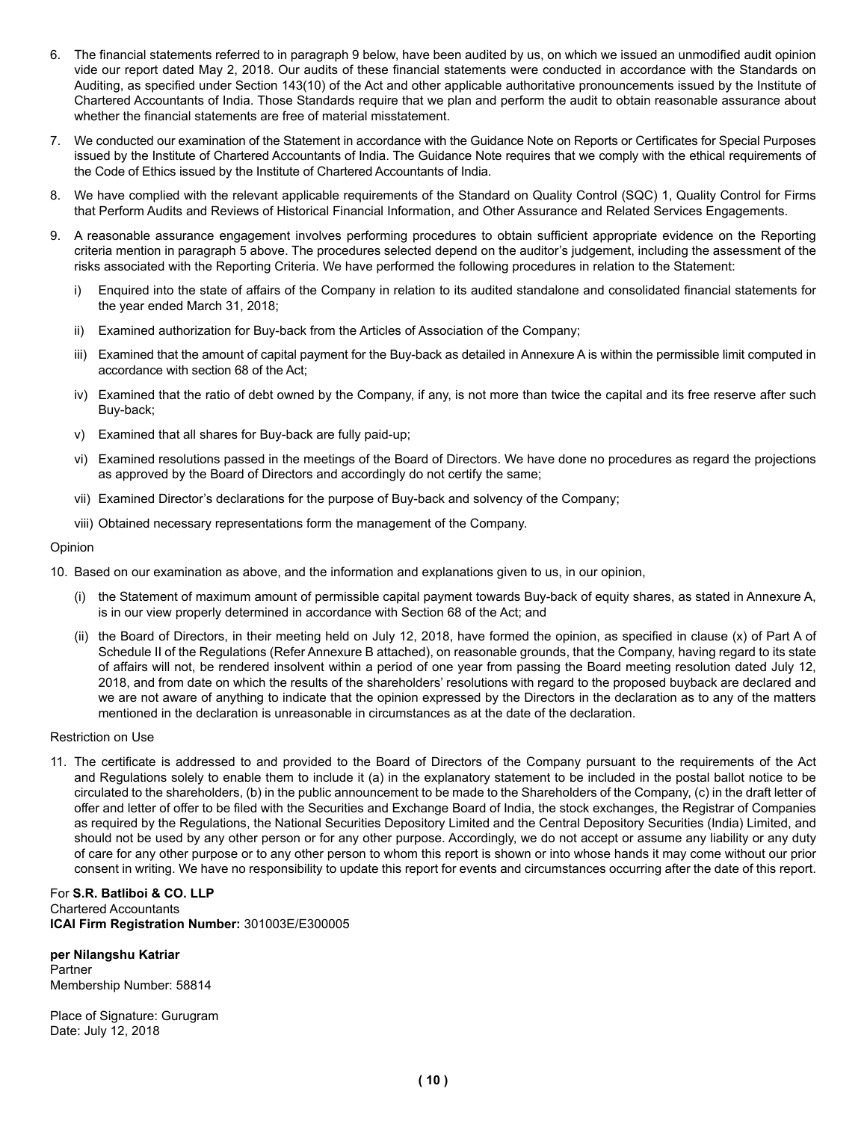- 6. The financial statements referred to in paragraph 9 below, have been audited by us, on which we issued an unmodified audit opinion vide our report dated May 2, 2018. Our audits of these financial statements were conducted in accordance with the Standards on Auditing, as specified under Section 143(10) of the Act and other applicable authoritative pronouncements issued by the Institute of Chartered Accountants of India. Those Standards require that we plan and perform the audit to obtain reasonable assurance about whether the financial statements are free of material misstatement.
- 7. We conducted our examination of the Statement in accordance with the Guidance Note on Reports or Certificates for Special Purposes issued by the Institute of Chartered Accountants of India. The Guidance Note requires that we comply with the ethical requirements of the Code of Ethics issued by the Institute of Chartered Accountants of India.
- 8. We have complied with the relevant applicable requirements of the Standard on Quality Control (SQC) 1, Quality Control for Firms that Perform Audits and Reviews of Historical Financial Information, and Other Assurance and Related Services Engagements.
- 9. A reasonable assurance engagement involves performing procedures to obtain sufficient appropriate evidence on the Reporting criteria mention in paragraph 5 above. The procedures selected depend on the auditor's judgement, including the assessment of the risks associated with the Reporting Criteria. We have performed the following procedures in relation to the Statement:
	- i) Enquired into the state of affairs of the Company in relation to its audited standalone and consolidated financial statements for the year ended March 31, 2018;
	- ii) Examined authorization for Buy-back from the Articles of Association of the Company;
	- iii) Examined that the amount of capital payment for the Buy-back as detailed in Annexure A is within the permissible limit computed in accordance with section 68 of the Act;
	- iv) Examined that the ratio of debt owned by the Company, if any, is not more than twice the capital and its free reserve after such Buy-back;
	- v) Examined that all shares for Buy-back are fully paid-up;
	- vi) Examined resolutions passed in the meetings of the Board of Directors. We have done no procedures as regard the projections as approved by the Board of Directors and accordingly do not certify the same;
	- vii) Examined Director's declarations for the purpose of Buy-back and solvency of the Company;
	- viii) Obtained necessary representations form the management of the Company.

#### Opinion

- 10. Based on our examination as above, and the information and explanations given to us, in our opinion,
	- (i) the Statement of maximum amount of permissible capital payment towards Buy-back of equity shares, as stated in Annexure A, is in our view properly determined in accordance with Section 68 of the Act; and
	- (ii) the Board of Directors, in their meeting held on July 12, 2018, have formed the opinion, as specified in clause (x) of Part A of Schedule II of the Regulations (Refer Annexure B attached), on reasonable grounds, that the Company, having regard to its state of affairs will not, be rendered insolvent within a period of one year from passing the Board meeting resolution dated July 12, 2018, and from date on which the results of the shareholders' resolutions with regard to the proposed buyback are declared and we are not aware of anything to indicate that the opinion expressed by the Directors in the declaration as to any of the matters mentioned in the declaration is unreasonable in circumstances as at the date of the declaration.

#### Restriction on Use

11. The certificate is addressed to and provided to the Board of Directors of the Company pursuant to the requirements of the Act and Regulations solely to enable them to include it (a) in the explanatory statement to be included in the postal ballot notice to be circulated to the shareholders, (b) in the public announcement to be made to the Shareholders of the Company, (c) in the draft letter of offer and letter of offer to be filed with the Securities and Exchange Board of India, the stock exchanges, the Registrar of Companies as required by the Regulations, the National Securities Depository Limited and the Central Depository Securities (India) Limited, and should not be used by any other person or for any other purpose. Accordingly, we do not accept or assume any liability or any duty of care for any other purpose or to any other person to whom this report is shown or into whose hands it may come without our prior consent in writing. We have no responsibility to update this report for events and circumstances occurring after the date of this report.

#### For **S.R. Batliboi & CO. LLP** Chartered Accountants **ICAI Firm Registration Number:** 301003E/E300005

#### **per Nilangshu Katriar**

Partner Membership Number: 58814

Place of Signature: Gurugram Date: July 12, 2018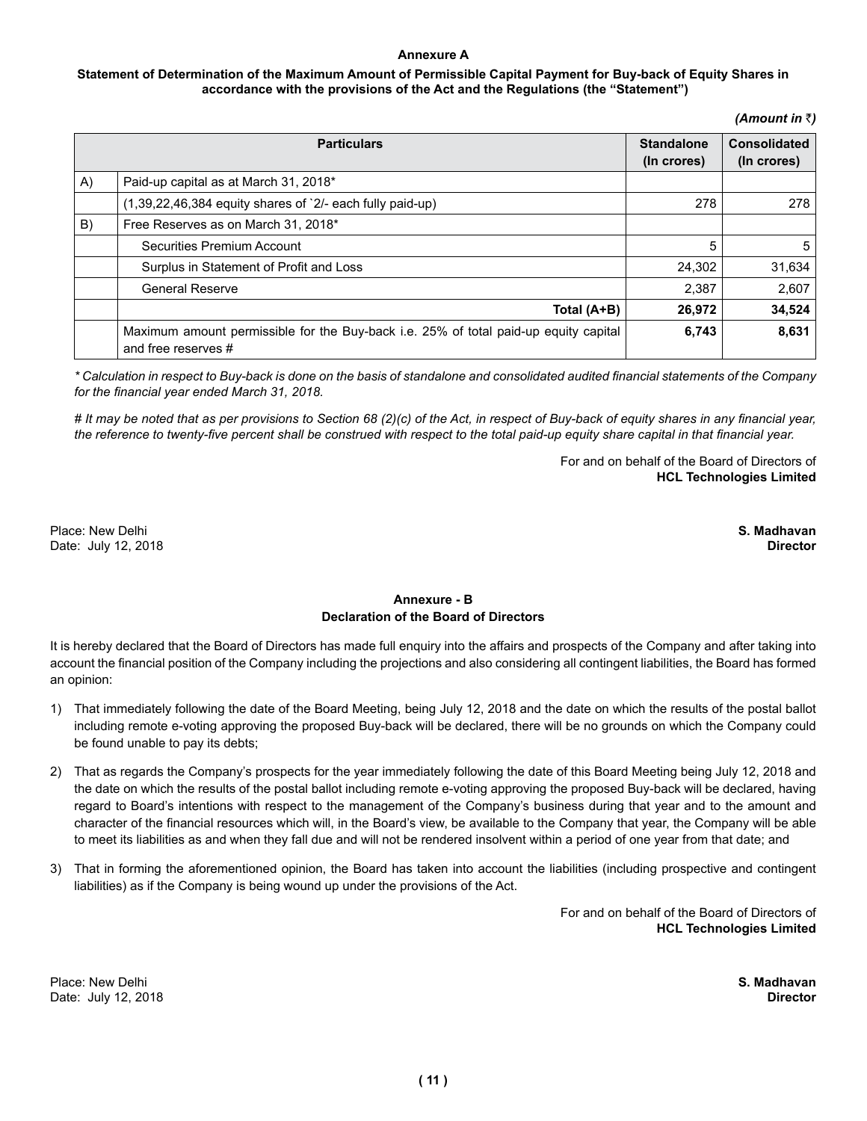### **Annexure A**

### **Statement of Determination of the Maximum Amount of Permissible Capital Payment for Buy-back of Equity Shares in accordance with the provisions of the Act and the Regulations (the "Statement")**

*(Amount in* `*)*

|    | <b>Particulars</b>                                                                                          | <b>Standalone</b><br>(In crores) | <b>Consolidated</b><br>(In crores) |
|----|-------------------------------------------------------------------------------------------------------------|----------------------------------|------------------------------------|
| A) | Paid-up capital as at March 31, 2018*                                                                       |                                  |                                    |
|    | (1,39,22,46,384 equity shares of `2/- each fully paid-up)                                                   | 278                              | 278                                |
| B) | Free Reserves as on March 31, 2018*                                                                         |                                  |                                    |
|    | Securities Premium Account                                                                                  | 5                                | 5                                  |
|    | Surplus in Statement of Profit and Loss                                                                     | 24,302                           | 31,634                             |
|    | <b>General Reserve</b>                                                                                      | 2,387                            | 2,607                              |
|    | Total (A+B)                                                                                                 | 26,972                           | 34,524                             |
|    | Maximum amount permissible for the Buy-back i.e. 25% of total paid-up equity capital<br>and free reserves # | 6,743                            | 8,631                              |

*\* Calculation in respect to Buy-back is done on the basis of standalone and consolidated audited financial statements of the Company for the financial year ended March 31, 2018.*

*# It may be noted that as per provisions to Section 68 (2)(c) of the Act, in respect of Buy-back of equity shares in any financial year, the reference to twenty-five percent shall be construed with respect to the total paid-up equity share capital in that financial year.* 

> For and on behalf of the Board of Directors of **HCL Technologies Limited**

Place: New Delhi **S. Madhavan** Date: July 12, 2018 **Director** 

## **Annexure - B Declaration of the Board of Directors**

It is hereby declared that the Board of Directors has made full enquiry into the affairs and prospects of the Company and after taking into account the financial position of the Company including the projections and also considering all contingent liabilities, the Board has formed an opinion:

- 1) That immediately following the date of the Board Meeting, being July 12, 2018 and the date on which the results of the postal ballot including remote e-voting approving the proposed Buy-back will be declared, there will be no grounds on which the Company could be found unable to pay its debts;
- 2) That as regards the Company's prospects for the year immediately following the date of this Board Meeting being July 12, 2018 and the date on which the results of the postal ballot including remote e-voting approving the proposed Buy-back will be declared, having regard to Board's intentions with respect to the management of the Company's business during that year and to the amount and character of the financial resources which will, in the Board's view, be available to the Company that year, the Company will be able to meet its liabilities as and when they fall due and will not be rendered insolvent within a period of one year from that date; and
- 3) That in forming the aforementioned opinion, the Board has taken into account the liabilities (including prospective and contingent liabilities) as if the Company is being wound up under the provisions of the Act.

For and on behalf of the Board of Directors of **HCL Technologies Limited**

Place: New Delhi **S. Madhavan** Date: July 12, 2018 **Director**